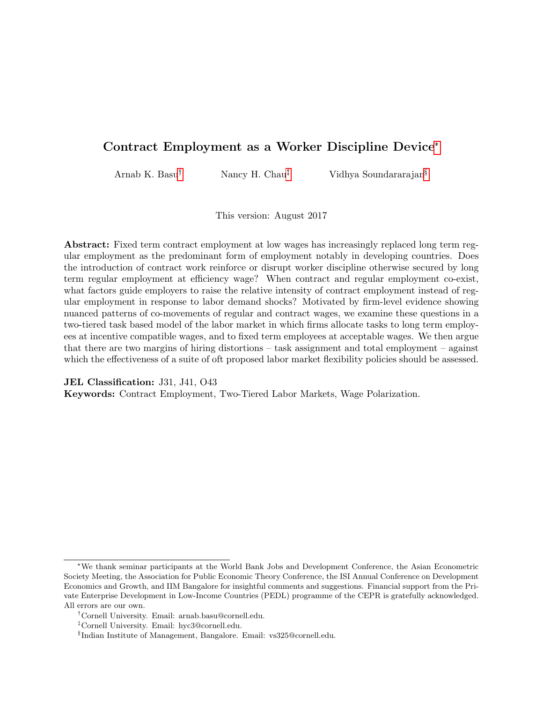# <span id="page-0-0"></span>Contract Employment as a Worker Discipline Device\*

Arnab K. Basu<sup>†</sup> Nancy H. Chau<sup>‡</sup> Vidhya Soundararajan<sup>§</sup>

This version: August 2017

Abstract: Fixed term contract employment at low wages has increasingly replaced long term regular employment as the predominant form of employment notably in developing countries. Does the introduction of contract work reinforce or disrupt worker discipline otherwise secured by long term regular employment at efficiency wage? When contract and regular employment co-exist, what factors guide employers to raise the relative intensity of contract employment instead of regular employment in response to labor demand shocks? Motivated by firm-level evidence showing nuanced patterns of co-movements of regular and contract wages, we examine these questions in a two-tiered task based model of the labor market in which firms allocate tasks to long term employees at incentive compatible wages, and to fixed term employees at acceptable wages. We then argue that there are two margins of hiring distortions – task assignment and total employment – against which the effectiveness of a suite of oft proposed labor market flexibility policies should be assessed.

JEL Classification: J31, J41, O43 Keywords: Contract Employment, Two-Tiered Labor Markets, Wage Polarization.

<sup>\*</sup>We thank seminar participants at the World Bank Jobs and Development Conference, the Asian Econometric Society Meeting, the Association for Public Economic Theory Conference, the ISI Annual Conference on Development Economics and Growth, and IIM Bangalore for insightful comments and suggestions. Financial support from the Private Enterprise Development in Low-Income Countries (PEDL) programme of the CEPR is gratefully acknowledged. All errors are our own.

Cornell University. Email: arnab.basu@cornell.edu.

Cornell University. Email: hyc3@cornell.edu.

<sup>§</sup> Indian Institute of Management, Bangalore. Email: vs325@cornell.edu.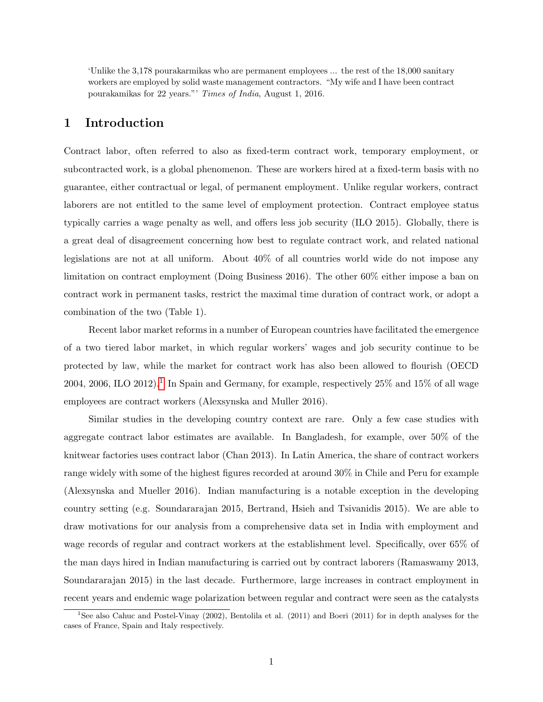'Unlike the 3,178 pourakarmikas who are permanent employees ... the rest of the 18,000 sanitary workers are employed by solid waste management contractors. "My wife and I have been contract pourakamikas for 22 years."' Times of India, August 1, 2016.

## 1 Introduction

Contract labor, often referred to also as fixed-term contract work, temporary employment, or subcontracted work, is a global phenomenon. These are workers hired at a fixed-term basis with no guarantee, either contractual or legal, of permanent employment. Unlike regular workers, contract laborers are not entitled to the same level of employment protection. Contract employee status typically carries a wage penalty as well, and offers less job security (ILO 2015). Globally, there is a great deal of disagreement concerning how best to regulate contract work, and related national legislations are not at all uniform. About 40% of all countries world wide do not impose any limitation on contract employment (Doing Business 2016). The other 60% either impose a ban on contract work in permanent tasks, restrict the maximal time duration of contract work, or adopt a combination of the two (Table 1).

Recent labor market reforms in a number of European countries have facilitated the emergence of a two tiered labor market, in which regular workers' wages and job security continue to be protected by law, while the market for contract work has also been allowed to flourish (OECD 2004, 2006, ILO 20[1](#page-0-0)2).<sup>1</sup> In Spain and Germany, for example, respectively 25% and 15% of all wage employees are contract workers (Alexsynska and Muller 2016).

Similar studies in the developing country context are rare. Only a few case studies with aggregate contract labor estimates are available. In Bangladesh, for example, over 50% of the knitwear factories uses contract labor (Chan 2013). In Latin America, the share of contract workers range widely with some of the highest figures recorded at around 30% in Chile and Peru for example (Alexsynska and Mueller 2016). Indian manufacturing is a notable exception in the developing country setting (e.g. Soundararajan 2015, Bertrand, Hsieh and Tsivanidis 2015). We are able to draw motivations for our analysis from a comprehensive data set in India with employment and wage records of regular and contract workers at the establishment level. Specifically, over 65% of the man days hired in Indian manufacturing is carried out by contract laborers (Ramaswamy 2013, Soundararajan 2015) in the last decade. Furthermore, large increases in contract employment in recent years and endemic wage polarization between regular and contract were seen as the catalysts

<sup>&</sup>lt;sup>1</sup>See also Cahuc and Postel-Vinay (2002), Bentolila et al. (2011) and Boeri (2011) for in depth analyses for the cases of France, Spain and Italy respectively.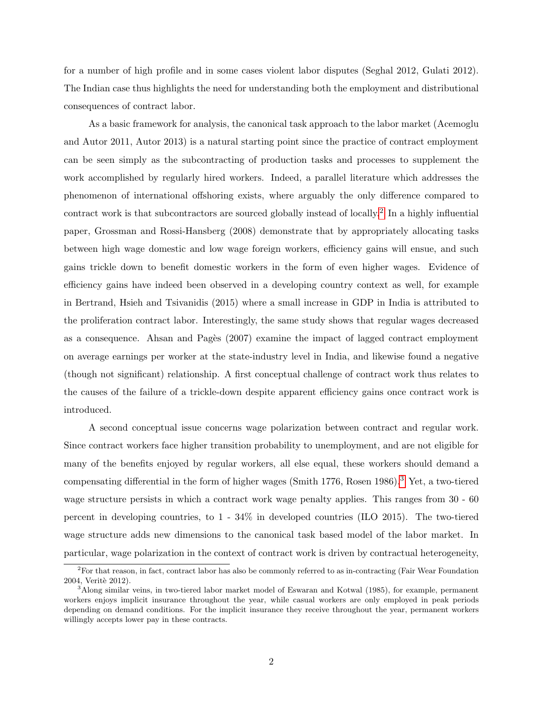for a number of high profile and in some cases violent labor disputes (Seghal 2012, Gulati 2012). The Indian case thus highlights the need for understanding both the employment and distributional consequences of contract labor.

As a basic framework for analysis, the canonical task approach to the labor market (Acemoglu and Autor 2011, Autor 2013) is a natural starting point since the practice of contract employment can be seen simply as the subcontracting of production tasks and processes to supplement the work accomplished by regularly hired workers. Indeed, a parallel literature which addresses the phenomenon of international offshoring exists, where arguably the only difference compared to contract work is that subcontractors are sourced globally instead of locally.<sup>[2](#page-0-0)</sup> In a highly influential paper, Grossman and Rossi-Hansberg (2008) demonstrate that by appropriately allocating tasks between high wage domestic and low wage foreign workers, efficiency gains will ensue, and such gains trickle down to benefit domestic workers in the form of even higher wages. Evidence of efficiency gains have indeed been observed in a developing country context as well, for example in Bertrand, Hsieh and Tsivanidis (2015) where a small increase in GDP in India is attributed to the proliferation contract labor. Interestingly, the same study shows that regular wages decreased as a consequence. Ahsan and Pagès (2007) examine the impact of lagged contract employment on average earnings per worker at the state-industry level in India, and likewise found a negative (though not significant) relationship. A first conceptual challenge of contract work thus relates to the causes of the failure of a trickle-down despite apparent efficiency gains once contract work is introduced.

A second conceptual issue concerns wage polarization between contract and regular work. Since contract workers face higher transition probability to unemployment, and are not eligible for many of the benefits enjoyed by regular workers, all else equal, these workers should demand a compensating differential in the form of higher wages (Smith 1776, Rosen  $1986$ ).<sup>[3](#page-0-0)</sup> Yet, a two-tiered wage structure persists in which a contract work wage penalty applies. This ranges from 30 - 60 percent in developing countries, to 1 - 34% in developed countries (ILO 2015). The two-tiered wage structure adds new dimensions to the canonical task based model of the labor market. In particular, wage polarization in the context of contract work is driven by contractual heterogeneity,

 ${}^{2}$  For that reason, in fact, contract labor has also be commonly referred to as in-contracting (Fair Wear Foundation 2004, Veritè 2012).

<sup>&</sup>lt;sup>3</sup>Along similar veins, in two-tiered labor market model of Eswaran and Kotwal (1985), for example, permanent workers enjoys implicit insurance throughout the year, while casual workers are only employed in peak periods depending on demand conditions. For the implicit insurance they receive throughout the year, permanent workers willingly accepts lower pay in these contracts.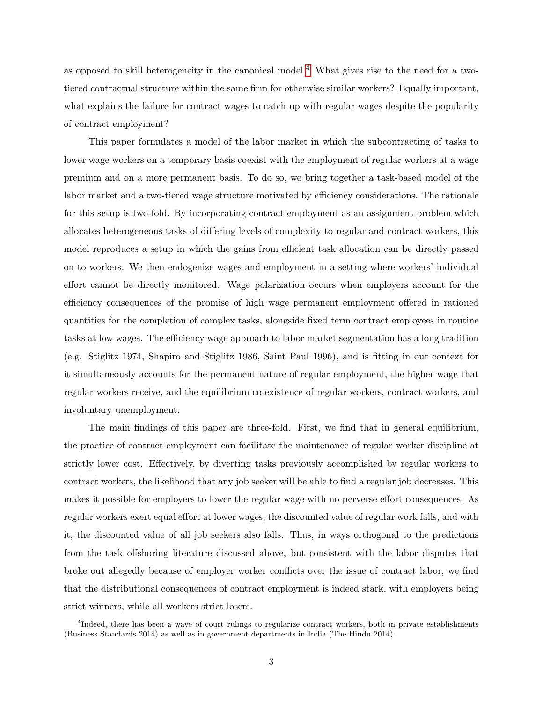as opposed to skill heterogeneity in the canonical model.[4](#page-0-0) What gives rise to the need for a twotiered contractual structure within the same firm for otherwise similar workers? Equally important, what explains the failure for contract wages to catch up with regular wages despite the popularity of contract employment?

This paper formulates a model of the labor market in which the subcontracting of tasks to lower wage workers on a temporary basis coexist with the employment of regular workers at a wage premium and on a more permanent basis. To do so, we bring together a task-based model of the labor market and a two-tiered wage structure motivated by efficiency considerations. The rationale for this setup is two-fold. By incorporating contract employment as an assignment problem which allocates heterogeneous tasks of differing levels of complexity to regular and contract workers, this model reproduces a setup in which the gains from efficient task allocation can be directly passed on to workers. We then endogenize wages and employment in a setting where workers' individual effort cannot be directly monitored. Wage polarization occurs when employers account for the efficiency consequences of the promise of high wage permanent employment offered in rationed quantities for the completion of complex tasks, alongside fixed term contract employees in routine tasks at low wages. The efficiency wage approach to labor market segmentation has a long tradition (e.g. Stiglitz 1974, Shapiro and Stiglitz 1986, Saint Paul 1996), and is fitting in our context for it simultaneously accounts for the permanent nature of regular employment, the higher wage that regular workers receive, and the equilibrium co-existence of regular workers, contract workers, and involuntary unemployment.

The main findings of this paper are three-fold. First, we find that in general equilibrium, the practice of contract employment can facilitate the maintenance of regular worker discipline at strictly lower cost. Effectively, by diverting tasks previously accomplished by regular workers to contract workers, the likelihood that any job seeker will be able to find a regular job decreases. This makes it possible for employers to lower the regular wage with no perverse effort consequences. As regular workers exert equal effort at lower wages, the discounted value of regular work falls, and with it, the discounted value of all job seekers also falls. Thus, in ways orthogonal to the predictions from the task offshoring literature discussed above, but consistent with the labor disputes that broke out allegedly because of employer worker conflicts over the issue of contract labor, we find that the distributional consequences of contract employment is indeed stark, with employers being strict winners, while all workers strict losers.

<sup>4</sup> Indeed, there has been a wave of court rulings to regularize contract workers, both in private establishments (Business Standards 2014) as well as in government departments in India (The Hindu 2014).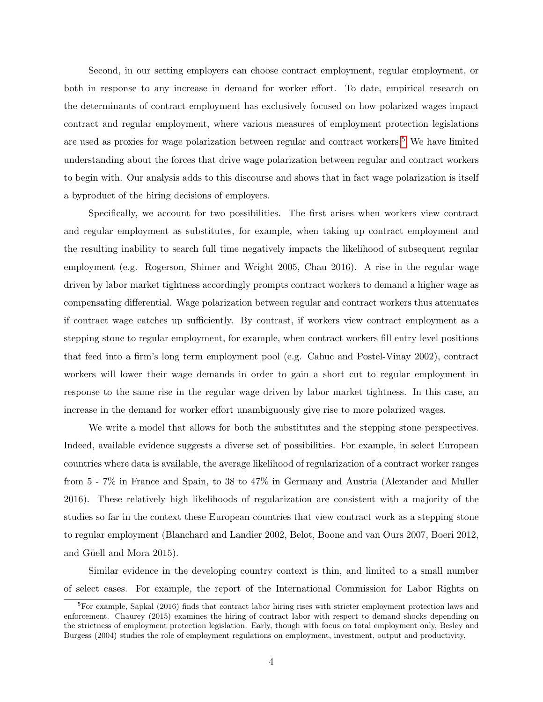Second, in our setting employers can choose contract employment, regular employment, or both in response to any increase in demand for worker effort. To date, empirical research on the determinants of contract employment has exclusively focused on how polarized wages impact contract and regular employment, where various measures of employment protection legislations are used as proxies for wage polarization between regular and contract workers.<sup>[5](#page-0-0)</sup> We have limited understanding about the forces that drive wage polarization between regular and contract workers to begin with. Our analysis adds to this discourse and shows that in fact wage polarization is itself a byproduct of the hiring decisions of employers.

Specifically, we account for two possibilities. The first arises when workers view contract and regular employment as substitutes, for example, when taking up contract employment and the resulting inability to search full time negatively impacts the likelihood of subsequent regular employment (e.g. Rogerson, Shimer and Wright 2005, Chau 2016). A rise in the regular wage driven by labor market tightness accordingly prompts contract workers to demand a higher wage as compensating differential. Wage polarization between regular and contract workers thus attenuates if contract wage catches up sufficiently. By contrast, if workers view contract employment as a stepping stone to regular employment, for example, when contract workers fill entry level positions that feed into a firm's long term employment pool (e.g. Cahuc and Postel-Vinay 2002), contract workers will lower their wage demands in order to gain a short cut to regular employment in response to the same rise in the regular wage driven by labor market tightness. In this case, an increase in the demand for worker effort unambiguously give rise to more polarized wages.

We write a model that allows for both the substitutes and the stepping stone perspectives. Indeed, available evidence suggests a diverse set of possibilities. For example, in select European countries where data is available, the average likelihood of regularization of a contract worker ranges from 5 - 7% in France and Spain, to 38 to 47% in Germany and Austria (Alexander and Muller 2016). These relatively high likelihoods of regularization are consistent with a majority of the studies so far in the context these European countries that view contract work as a stepping stone to regular employment (Blanchard and Landier 2002, Belot, Boone and van Ours 2007, Boeri 2012, and Güell and Mora 2015).

Similar evidence in the developing country context is thin, and limited to a small number of select cases. For example, the report of the International Commission for Labor Rights on

 ${}^{5}$ For example, Sapkal (2016) finds that contract labor hiring rises with stricter employment protection laws and enforcement. Chaurey (2015) examines the hiring of contract labor with respect to demand shocks depending on the strictness of employment protection legislation. Early, though with focus on total employment only, Besley and Burgess (2004) studies the role of employment regulations on employment, investment, output and productivity.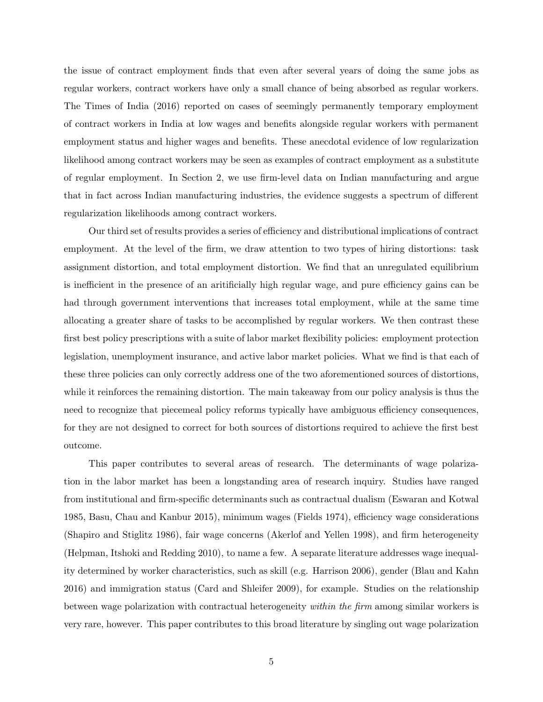the issue of contract employment finds that even after several years of doing the same jobs as regular workers, contract workers have only a small chance of being absorbed as regular workers. The Times of India (2016) reported on cases of seemingly permanently temporary employment of contract workers in India at low wages and benefits alongside regular workers with permanent employment status and higher wages and benefits. These anecdotal evidence of low regularization likelihood among contract workers may be seen as examples of contract employment as a substitute of regular employment. In Section 2, we use firm-level data on Indian manufacturing and argue that in fact across Indian manufacturing industries, the evidence suggests a spectrum of different regularization likelihoods among contract workers.

Our third set of results provides a series of efficiency and distributional implications of contract employment. At the level of the firm, we draw attention to two types of hiring distortions: task assignment distortion, and total employment distortion. We find that an unregulated equilibrium is inefficient in the presence of an aritificially high regular wage, and pure efficiency gains can be had through government interventions that increases total employment, while at the same time allocating a greater share of tasks to be accomplished by regular workers. We then contrast these first best policy prescriptions with a suite of labor market flexibility policies: employment protection legislation, unemployment insurance, and active labor market policies. What we find is that each of these three policies can only correctly address one of the two aforementioned sources of distortions, while it reinforces the remaining distortion. The main takeaway from our policy analysis is thus the need to recognize that piecemeal policy reforms typically have ambiguous efficiency consequences, for they are not designed to correct for both sources of distortions required to achieve the first best outcome.

This paper contributes to several areas of research. The determinants of wage polarization in the labor market has been a longstanding area of research inquiry. Studies have ranged from institutional and firm-specific determinants such as contractual dualism (Eswaran and Kotwal 1985, Basu, Chau and Kanbur 2015), minimum wages (Fields 1974), efficiency wage considerations (Shapiro and Stiglitz 1986), fair wage concerns (Akerlof and Yellen 1998), and firm heterogeneity (Helpman, Itshoki and Redding 2010), to name a few. A separate literature addresses wage inequality determined by worker characteristics, such as skill (e.g. Harrison 2006), gender (Blau and Kahn 2016) and immigration status (Card and Shleifer 2009), for example. Studies on the relationship between wage polarization with contractual heterogeneity within the firm among similar workers is very rare, however. This paper contributes to this broad literature by singling out wage polarization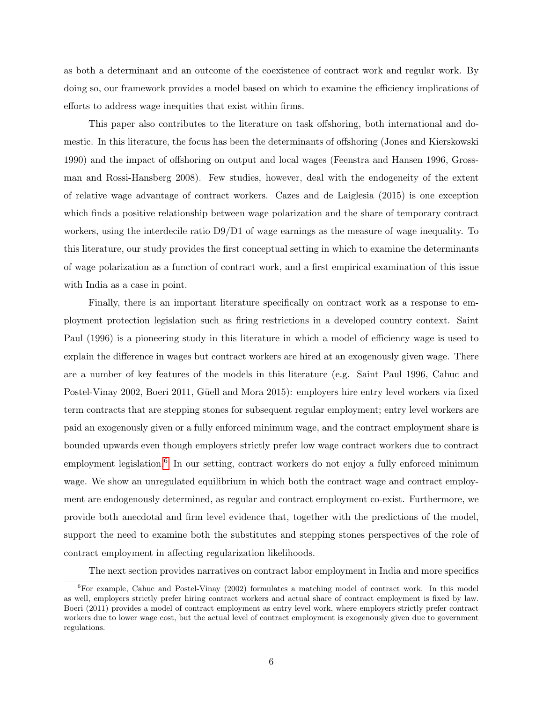as both a determinant and an outcome of the coexistence of contract work and regular work. By doing so, our framework provides a model based on which to examine the efficiency implications of efforts to address wage inequities that exist within firms.

This paper also contributes to the literature on task offshoring, both international and domestic. In this literature, the focus has been the determinants of offshoring (Jones and Kierskowski 1990) and the impact of offshoring on output and local wages (Feenstra and Hansen 1996, Grossman and Rossi-Hansberg 2008). Few studies, however, deal with the endogeneity of the extent of relative wage advantage of contract workers. Cazes and de Laiglesia (2015) is one exception which finds a positive relationship between wage polarization and the share of temporary contract workers, using the interdecile ratio D9/D1 of wage earnings as the measure of wage inequality. To this literature, our study provides the first conceptual setting in which to examine the determinants of wage polarization as a function of contract work, and a first empirical examination of this issue with India as a case in point.

Finally, there is an important literature specifically on contract work as a response to employment protection legislation such as firing restrictions in a developed country context. Saint Paul (1996) is a pioneering study in this literature in which a model of efficiency wage is used to explain the difference in wages but contract workers are hired at an exogenously given wage. There are a number of key features of the models in this literature (e.g. Saint Paul 1996, Cahuc and Postel-Vinay 2002, Boeri 2011, Güell and Mora 2015): employers hire entry level workers via fixed term contracts that are stepping stones for subsequent regular employment; entry level workers are paid an exogenously given or a fully enforced minimum wage, and the contract employment share is bounded upwards even though employers strictly prefer low wage contract workers due to contract employment legislation.<sup>[6](#page-0-0)</sup> In our setting, contract workers do not enjoy a fully enforced minimum wage. We show an unregulated equilibrium in which both the contract wage and contract employment are endogenously determined, as regular and contract employment co-exist. Furthermore, we provide both anecdotal and firm level evidence that, together with the predictions of the model, support the need to examine both the substitutes and stepping stones perspectives of the role of contract employment in affecting regularization likelihoods.

The next section provides narratives on contract labor employment in India and more specifics

 ${}^{6}$  For example, Cahuc and Postel-Vinay (2002) formulates a matching model of contract work. In this model as well, employers strictly prefer hiring contract workers and actual share of contract employment is fixed by law. Boeri (2011) provides a model of contract employment as entry level work, where employers strictly prefer contract workers due to lower wage cost, but the actual level of contract employment is exogenously given due to government regulations.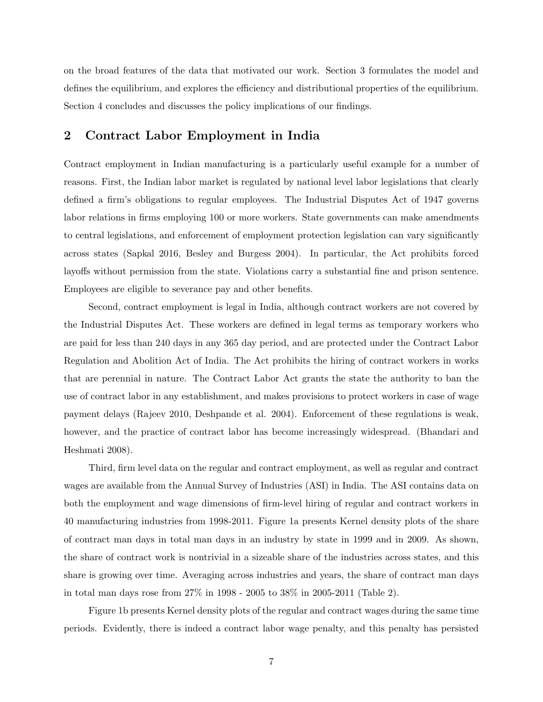on the broad features of the data that motivated our work. Section 3 formulates the model and defines the equilibrium, and explores the efficiency and distributional properties of the equilibrium. Section 4 concludes and discusses the policy implications of our findings.

## 2 Contract Labor Employment in India

Contract employment in Indian manufacturing is a particularly useful example for a number of reasons. First, the Indian labor market is regulated by national level labor legislations that clearly defined a firm's obligations to regular employees. The Industrial Disputes Act of 1947 governs labor relations in firms employing 100 or more workers. State governments can make amendments to central legislations, and enforcement of employment protection legislation can vary significantly across states (Sapkal 2016, Besley and Burgess 2004). In particular, the Act prohibits forced layoffs without permission from the state. Violations carry a substantial fine and prison sentence. Employees are eligible to severance pay and other benefits.

Second, contract employment is legal in India, although contract workers are not covered by the Industrial Disputes Act. These workers are defined in legal terms as temporary workers who are paid for less than 240 days in any 365 day period, and are protected under the Contract Labor Regulation and Abolition Act of India. The Act prohibits the hiring of contract workers in works that are perennial in nature. The Contract Labor Act grants the state the authority to ban the use of contract labor in any establishment, and makes provisions to protect workers in case of wage payment delays (Rajeev 2010, Deshpande et al. 2004). Enforcement of these regulations is weak, however, and the practice of contract labor has become increasingly widespread. (Bhandari and Heshmati 2008).

Third, firm level data on the regular and contract employment, as well as regular and contract wages are available from the Annual Survey of Industries (ASI) in India. The ASI contains data on both the employment and wage dimensions of firm-level hiring of regular and contract workers in 40 manufacturing industries from 1998-2011. Figure 1a presents Kernel density plots of the share of contract man days in total man days in an industry by state in 1999 and in 2009. As shown, the share of contract work is nontrivial in a sizeable share of the industries across states, and this share is growing over time. Averaging across industries and years, the share of contract man days in total man days rose from 27% in 1998 - 2005 to 38% in 2005-2011 (Table 2).

Figure 1b presents Kernel density plots of the regular and contract wages during the same time periods. Evidently, there is indeed a contract labor wage penalty, and this penalty has persisted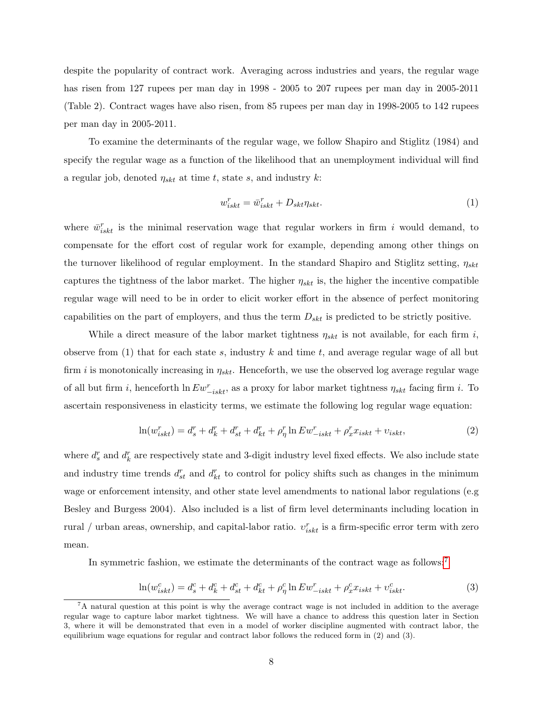despite the popularity of contract work. Averaging across industries and years, the regular wage has risen from 127 rupees per man day in 1998 - 2005 to 207 rupees per man day in 2005-2011 (Table 2). Contract wages have also risen, from 85 rupees per man day in 1998-2005 to 142 rupees per man day in 2005-2011.

To examine the determinants of the regular wage, we follow Shapiro and Stiglitz (1984) and specify the regular wage as a function of the likelihood that an unemployment individual will find a regular job, denoted  $\eta_{skt}$  at time t, state s, and industry k:

$$
w_{iskt}^r = \bar{w}_{iskt}^r + D_{skt} \eta_{skt}.\tag{1}
$$

where  $\bar{w}_{iskt}^r$  is the minimal reservation wage that regular workers in firm i would demand, to compensate for the effort cost of regular work for example, depending among other things on the turnover likelihood of regular employment. In the standard Shapiro and Stiglitz setting,  $\eta_{skt}$ captures the tightness of the labor market. The higher  $\eta_{skt}$  is, the higher the incentive compatible regular wage will need to be in order to elicit worker effort in the absence of perfect monitoring capabilities on the part of employers, and thus the term  $D_{skt}$  is predicted to be strictly positive.

While a direct measure of the labor market tightness  $\eta_{skt}$  is not available, for each firm i, observe from (1) that for each state s, industry k and time t, and average regular wage of all but firm i is monotonically increasing in  $\eta_{skt}$ . Henceforth, we use the observed log average regular wage of all but firm *i*, henceforth  $\ln Ew_{-iskt}^r$ , as a proxy for labor market tightness  $\eta_{skt}$  facing firm *i*. To ascertain responsiveness in elasticity terms, we estimate the following log regular wage equation:

$$
\ln(w_{iskt}^r) = d_s^r + d_k^r + d_{st}^r + d_{kt}^r + \rho_{\eta}^r \ln E w_{-iskt}^r + \rho_x^r x_{iskt} + v_{iskt},\tag{2}
$$

where  $d_s^r$  and  $d_k^r$  are respectively state and 3-digit industry level fixed effects. We also include state and industry time trends  $d_{st}^r$  and  $d_{kt}^r$  to control for policy shifts such as changes in the minimum wage or enforcement intensity, and other state level amendments to national labor regulations (e.g Besley and Burgess 2004). Also included is a list of firm level determinants including location in rural / urban areas, ownership, and capital-labor ratio.  $v_{iskt}^r$  is a firm-specific error term with zero mean.

In symmetric fashion, we estimate the determinants of the contract wage as follows:[7](#page-0-0)

$$
\ln(w_{iskt}^c) = d_s^c + d_k^c + d_{st}^c + d_{kt}^c + \rho_\eta^c \ln E w_{-iskt}^r + \rho_x^c x_{iskt} + v_{iskt}^c.
$$
\n(3)

<sup>&</sup>lt;sup>7</sup>A natural question at this point is why the average contract wage is not included in addition to the average regular wage to capture labor market tightness. We will have a chance to address this question later in Section 3, where it will be demonstrated that even in a model of worker discipline augmented with contract labor, the equilibrium wage equations for regular and contract labor follows the reduced form in (2) and (3).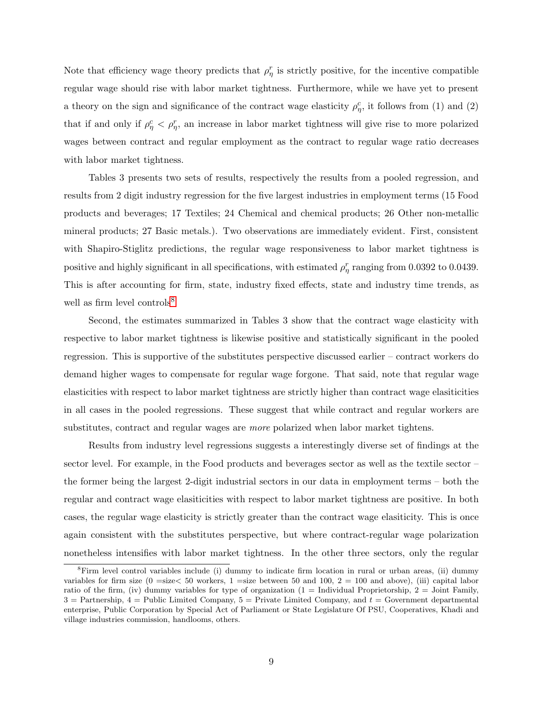Note that efficiency wage theory predicts that  $\rho_{\eta}^{r}$  is strictly positive, for the incentive compatible regular wage should rise with labor market tightness. Furthermore, while we have yet to present a theory on the sign and significance of the contract wage elasticity  $\rho_{\eta}^c$ , it follows from (1) and (2) that if and only if  $\rho_{\eta}^c < \rho_{\eta}^r$ , an increase in labor market tightness will give rise to more polarized wages between contract and regular employment as the contract to regular wage ratio decreases with labor market tightness.

Tables 3 presents two sets of results, respectively the results from a pooled regression, and results from 2 digit industry regression for the five largest industries in employment terms (15 Food products and beverages; 17 Textiles; 24 Chemical and chemical products; 26 Other non-metallic mineral products; 27 Basic metals.). Two observations are immediately evident. First, consistent with Shapiro-Stiglitz predictions, the regular wage responsiveness to labor market tightness is positive and highly significant in all specifications, with estimated  $\rho_{\eta}^{r}$  ranging from 0.0392 to 0.0439. This is after accounting for firm, state, industry fixed effects, state and industry time trends, as well as firm level controls<sup>[8](#page-0-0)</sup>

Second, the estimates summarized in Tables 3 show that the contract wage elasticity with respective to labor market tightness is likewise positive and statistically significant in the pooled regression. This is supportive of the substitutes perspective discussed earlier – contract workers do demand higher wages to compensate for regular wage forgone. That said, note that regular wage elasticities with respect to labor market tightness are strictly higher than contract wage elasiticities in all cases in the pooled regressions. These suggest that while contract and regular workers are substitutes, contract and regular wages are more polarized when labor market tightens.

Results from industry level regressions suggests a interestingly diverse set of findings at the sector level. For example, in the Food products and beverages sector as well as the textile sector – the former being the largest 2-digit industrial sectors in our data in employment terms – both the regular and contract wage elasiticities with respect to labor market tightness are positive. In both cases, the regular wage elasticity is strictly greater than the contract wage elasiticity. This is once again consistent with the substitutes perspective, but where contract-regular wage polarization nonetheless intensifies with labor market tightness. In the other three sectors, only the regular

<sup>&</sup>lt;sup>8</sup>Firm level control variables include (i) dummy to indicate firm location in rural or urban areas, (ii) dummy variables for firm size  $(0 = size < 50$  workers,  $1 = size$  between 50 and 100,  $2 = 100$  and above), (iii) capital labor ratio of the firm, (iv) dummy variables for type of organization  $(1 = Individual Proprietorship, 2 = Joint Family,$  $3 =$  Partnership,  $4 =$  Public Limited Company,  $5 =$  Private Limited Company, and  $t =$  Government departmental enterprise, Public Corporation by Special Act of Parliament or State Legislature Of PSU, Cooperatives, Khadi and village industries commission, handlooms, others.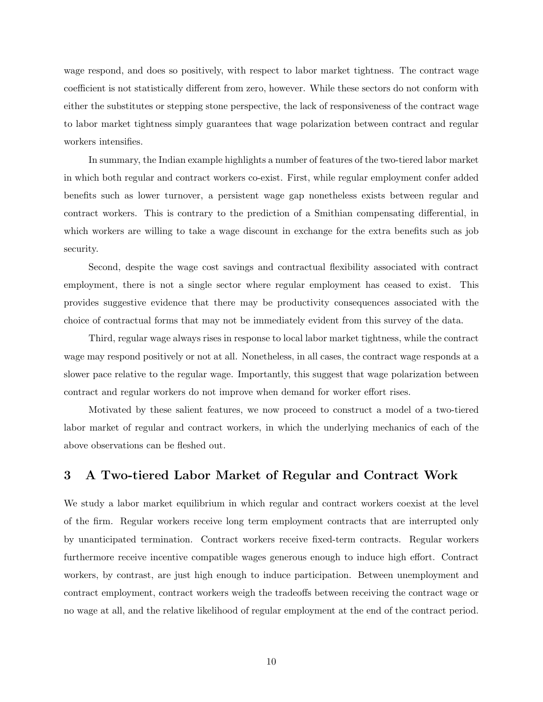wage respond, and does so positively, with respect to labor market tightness. The contract wage coefficient is not statistically different from zero, however. While these sectors do not conform with either the substitutes or stepping stone perspective, the lack of responsiveness of the contract wage to labor market tightness simply guarantees that wage polarization between contract and regular workers intensifies.

In summary, the Indian example highlights a number of features of the two-tiered labor market in which both regular and contract workers co-exist. First, while regular employment confer added benefits such as lower turnover, a persistent wage gap nonetheless exists between regular and contract workers. This is contrary to the prediction of a Smithian compensating differential, in which workers are willing to take a wage discount in exchange for the extra benefits such as job security.

Second, despite the wage cost savings and contractual flexibility associated with contract employment, there is not a single sector where regular employment has ceased to exist. This provides suggestive evidence that there may be productivity consequences associated with the choice of contractual forms that may not be immediately evident from this survey of the data.

Third, regular wage always rises in response to local labor market tightness, while the contract wage may respond positively or not at all. Nonetheless, in all cases, the contract wage responds at a slower pace relative to the regular wage. Importantly, this suggest that wage polarization between contract and regular workers do not improve when demand for worker effort rises.

Motivated by these salient features, we now proceed to construct a model of a two-tiered labor market of regular and contract workers, in which the underlying mechanics of each of the above observations can be fleshed out.

## 3 A Two-tiered Labor Market of Regular and Contract Work

We study a labor market equilibrium in which regular and contract workers coexist at the level of the firm. Regular workers receive long term employment contracts that are interrupted only by unanticipated termination. Contract workers receive fixed-term contracts. Regular workers furthermore receive incentive compatible wages generous enough to induce high effort. Contract workers, by contrast, are just high enough to induce participation. Between unemployment and contract employment, contract workers weigh the tradeoffs between receiving the contract wage or no wage at all, and the relative likelihood of regular employment at the end of the contract period.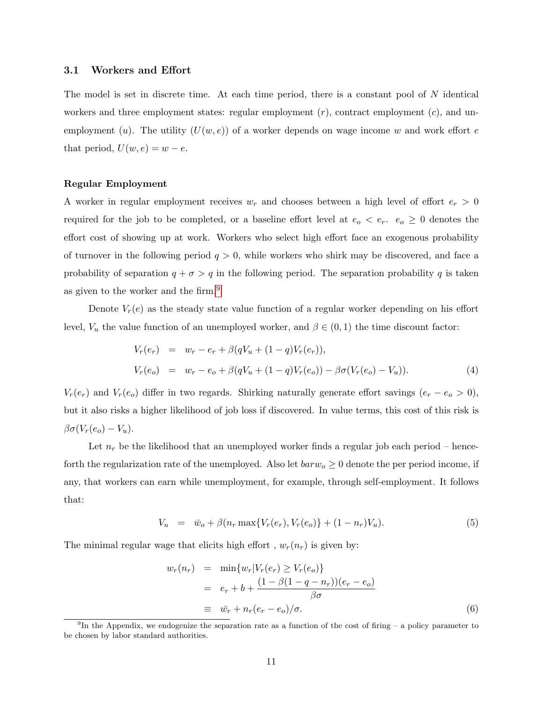### 3.1 Workers and Effort

The model is set in discrete time. At each time period, there is a constant pool of N identical workers and three employment states: regular employment  $(r)$ , contract employment  $(c)$ , and unemployment (u). The utility  $(U(w, e))$  of a worker depends on wage income w and work effort e that period,  $U(w, e) = w - e$ .

#### Regular Employment

A worker in regular employment receives  $w_r$  and chooses between a high level of effort  $e_r > 0$ required for the job to be completed, or a baseline effort level at  $e_o < e_r$ .  $e_o \geq 0$  denotes the effort cost of showing up at work. Workers who select high effort face an exogenous probability of turnover in the following period  $q > 0$ , while workers who shirk may be discovered, and face a probability of separation  $q + \sigma > q$  in the following period. The separation probability q is taken as given to the worker and the firm.[9](#page-0-0)

Denote  $V_r(e)$  as the steady state value function of a regular worker depending on his effort level,  $V_u$  the value function of an unemployed worker, and  $\beta \in (0,1)$  the time discount factor:

$$
V_r(e_r) = w_r - e_r + \beta(qV_u + (1-q)V_r(e_r)),
$$
  
\n
$$
V_r(e_o) = w_r - e_o + \beta(qV_u + (1-q)V_r(e_o)) - \beta\sigma(V_r(e_o) - V_u)).
$$
\n(4)

 $V_r(e_r)$  and  $V_r(e_o)$  differ in two regards. Shirking naturally generate effort savings  $(e_r - e_o > 0)$ , but it also risks a higher likelihood of job loss if discovered. In value terms, this cost of this risk is  $\beta \sigma (V_r(e_o) - V_u).$ 

Let  $n_r$  be the likelihood that an unemployed worker finds a regular job each period – henceforth the regularization rate of the unemployed. Also let  $bar{w}_o \geq 0$  denote the per period income, if any, that workers can earn while unemployment, for example, through self-employment. It follows that:

$$
V_u = \bar{w}_o + \beta(n_r \max\{V_r(e_r), V_r(e_o)\} + (1 - n_r)V_u). \tag{5}
$$

The minimal regular wage that elicits high effort,  $w_r(n_r)$  is given by:

$$
w_r(n_r) = \min\{w_r|V_r(e_r) \ge V_r(e_o)\}
$$
  
=  $e_r + b + \frac{(1 - \beta(1 - q - n_r))(e_r - e_o)}{\beta \sigma}$   

$$
\equiv \bar{w_r} + n_r(e_r - e_o)/\sigma.
$$
 (6)

<sup>&</sup>lt;sup>9</sup>In the Appendix, we endogenize the separation rate as a function of the cost of firing – a policy parameter to be chosen by labor standard authorities.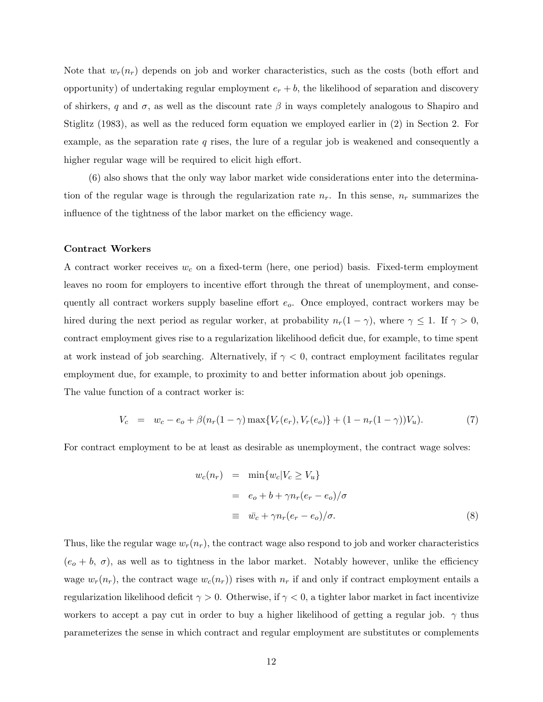Note that  $w_r(n_r)$  depends on job and worker characteristics, such as the costs (both effort and opportunity) of undertaking regular employment  $e_r + b$ , the likelihood of separation and discovery of shirkers, q and  $\sigma$ , as well as the discount rate  $\beta$  in ways completely analogous to Shapiro and Stiglitz (1983), as well as the reduced form equation we employed earlier in (2) in Section 2. For example, as the separation rate  $q$  rises, the lure of a regular job is weakened and consequently a higher regular wage will be required to elicit high effort.

(6) also shows that the only way labor market wide considerations enter into the determination of the regular wage is through the regularization rate  $n_r$ . In this sense,  $n_r$  summarizes the influence of the tightness of the labor market on the efficiency wage.

#### Contract Workers

A contract worker receives  $w_c$  on a fixed-term (here, one period) basis. Fixed-term employment leaves no room for employers to incentive effort through the threat of unemployment, and consequently all contract workers supply baseline effort  $e<sub>o</sub>$ . Once employed, contract workers may be hired during the next period as regular worker, at probability  $n_r(1 - \gamma)$ , where  $\gamma \leq 1$ . If  $\gamma > 0$ , contract employment gives rise to a regularization likelihood deficit due, for example, to time spent at work instead of job searching. Alternatively, if  $\gamma < 0$ , contract employment facilitates regular employment due, for example, to proximity to and better information about job openings. The value function of a contract worker is:

$$
V_c = w_c - e_o + \beta (n_r(1 - \gamma) \max\{V_r(e_r), V_r(e_o)\} + (1 - n_r(1 - \gamma))V_u). \tag{7}
$$

For contract employment to be at least as desirable as unemployment, the contract wage solves:

$$
w_c(n_r) = \min\{w_c | V_c \ge V_u\}
$$
  
=  $e_o + b + \gamma n_r (e_r - e_o) / \sigma$   

$$
\equiv \bar{w_c} + \gamma n_r (e_r - e_o) / \sigma.
$$
 (8)

Thus, like the regular wage  $w_r(n_r)$ , the contract wage also respond to job and worker characteristics  $(e_o + b, \sigma)$ , as well as to tightness in the labor market. Notably however, unlike the efficiency wage  $w_r(n_r)$ , the contract wage  $w_c(n_r)$  rises with  $n_r$  if and only if contract employment entails a regularization likelihood deficit  $\gamma > 0$ . Otherwise, if  $\gamma < 0$ , a tighter labor market in fact incentivize workers to accept a pay cut in order to buy a higher likelihood of getting a regular job.  $\gamma$  thus parameterizes the sense in which contract and regular employment are substitutes or complements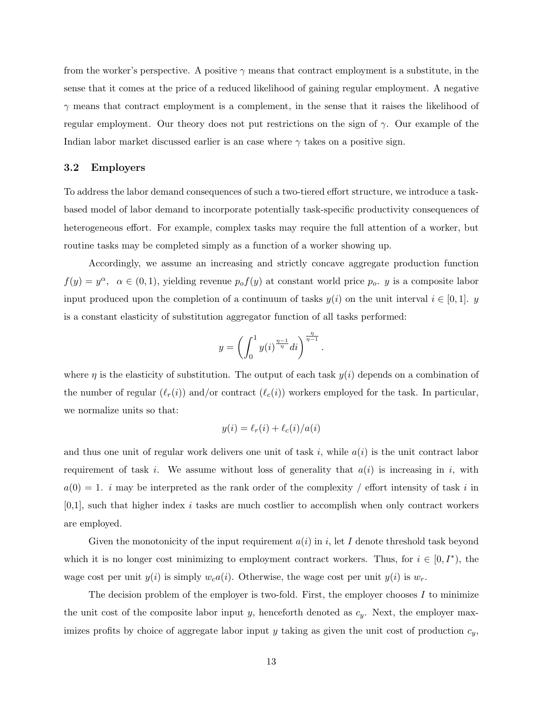from the worker's perspective. A positive  $\gamma$  means that contract employment is a substitute, in the sense that it comes at the price of a reduced likelihood of gaining regular employment. A negative  $\gamma$  means that contract employment is a complement, in the sense that it raises the likelihood of regular employment. Our theory does not put restrictions on the sign of  $\gamma$ . Our example of the Indian labor market discussed earlier is an case where  $\gamma$  takes on a positive sign.

### 3.2 Employers

To address the labor demand consequences of such a two-tiered effort structure, we introduce a taskbased model of labor demand to incorporate potentially task-specific productivity consequences of heterogeneous effort. For example, complex tasks may require the full attention of a worker, but routine tasks may be completed simply as a function of a worker showing up.

Accordingly, we assume an increasing and strictly concave aggregate production function  $f(y) = y^{\alpha}, \alpha \in (0,1)$ , yielding revenue  $p_o f(y)$  at constant world price  $p_o$ . y is a composite labor input produced upon the completion of a continuum of tasks  $y(i)$  on the unit interval  $i \in [0,1]$ . y is a constant elasticity of substitution aggregator function of all tasks performed:

$$
y = \left(\int_0^1 y(i)^{\frac{\eta-1}{\eta}} di\right)^{\frac{\eta}{\eta-1}}.
$$

where  $\eta$  is the elasticity of substitution. The output of each task  $y(i)$  depends on a combination of the number of regular  $(\ell_r(i))$  and/or contract  $(\ell_c(i))$  workers employed for the task. In particular, we normalize units so that:

$$
y(i) = \ell_r(i) + \ell_c(i)/a(i)
$$

and thus one unit of regular work delivers one unit of task i, while  $a(i)$  is the unit contract labor requirement of task i. We assume without loss of generality that  $a(i)$  is increasing in i, with  $a(0) = 1$ . i may be interpreted as the rank order of the complexity / effort intensity of task i in  $[0,1]$ , such that higher index i tasks are much costlier to accomplish when only contract workers are employed.

Given the monotonicity of the input requirement  $a(i)$  in i, let I denote threshold task beyond which it is no longer cost minimizing to employment contract workers. Thus, for  $i \in [0, I^*)$ , the wage cost per unit  $y(i)$  is simply  $w_c(a(i))$ . Otherwise, the wage cost per unit  $y(i)$  is  $w_r$ .

The decision problem of the employer is two-fold. First, the employer chooses I to minimize the unit cost of the composite labor input y, henceforth denoted as  $c_y$ . Next, the employer maximizes profits by choice of aggregate labor input y taking as given the unit cost of production  $c_y$ ,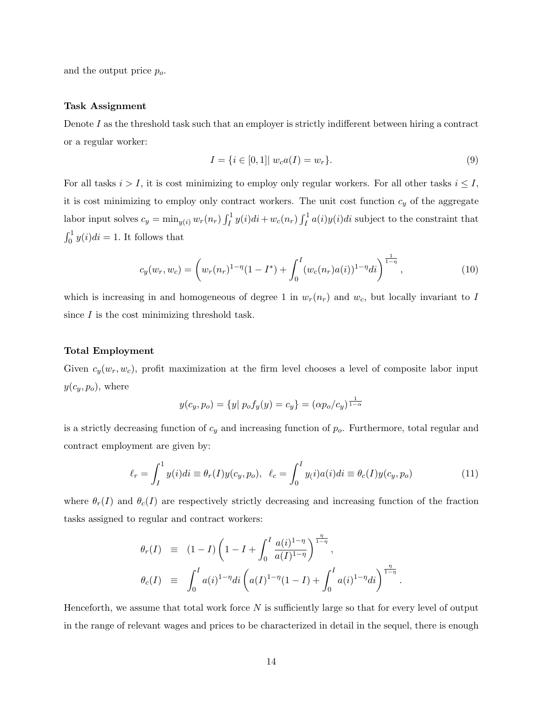and the output price  $p_o$ .

#### Task Assignment

Denote I as the threshold task such that an employer is strictly indifferent between hiring a contract or a regular worker:

$$
I = \{ i \in [0, 1] | w_c a(I) = w_r \}.
$$
\n<sup>(9)</sup>

For all tasks  $i > I$ , it is cost minimizing to employ only regular workers. For all other tasks  $i \leq I$ , it is cost minimizing to employ only contract workers. The unit cost function  $c_y$  of the aggregate labor input solves  $c_y = \min_{y(i)} w_r(n_r) \int_I^1 y(i)di + w_c(n_r) \int_I^1 a(i)y(i)di$  subject to the constraint that  $\int_0^1 y(i)di = 1$ . It follows that

$$
c_y(w_r, w_c) = \left(w_r(n_r)^{1-\eta}(1 - I^*) + \int_0^I (w_c(n_r)a(i))^{1-\eta}di\right)^{\frac{1}{1-\eta}},\tag{10}
$$

which is increasing in and homogeneous of degree 1 in  $w_r(n_r)$  and  $w_c$ , but locally invariant to I since  $I$  is the cost minimizing threshold task.

### Total Employment

Given  $c_y(w_r, w_c)$ , profit maximization at the firm level chooses a level of composite labor input  $y(c_y, p_o)$ , where

$$
y(c_y, p_o) = \{y | p_o f_y(y) = c_y\} = (\alpha p_o/c_y)^{\frac{1}{1-\alpha}}
$$

is a strictly decreasing function of  $c_y$  and increasing function of  $p_o$ . Furthermore, total regular and contract employment are given by:

$$
\ell_r = \int_I^1 y(i)di \equiv \theta_r(I)y(c_y, p_o), \ \ell_c = \int_0^I y(i)a(i)di \equiv \theta_c(I)y(c_y, p_o)
$$
 (11)

where  $\theta_r(I)$  and  $\theta_c(I)$  are respectively strictly decreasing and increasing function of the fraction tasks assigned to regular and contract workers:

$$
\theta_r(I) \equiv (1 - I) \left( 1 - I + \int_0^I \frac{a(i)^{1 - \eta}}{a(I)^{1 - \eta}} \right)^{\frac{\eta}{1 - \eta}},
$$
  

$$
\theta_c(I) \equiv \int_0^I a(i)^{1 - \eta} di \left( a(I)^{1 - \eta} (1 - I) + \int_0^I a(i)^{1 - \eta} di \right)^{\frac{\eta}{1 - \eta}}.
$$

Henceforth, we assume that total work force  $N$  is sufficiently large so that for every level of output in the range of relevant wages and prices to be characterized in detail in the sequel, there is enough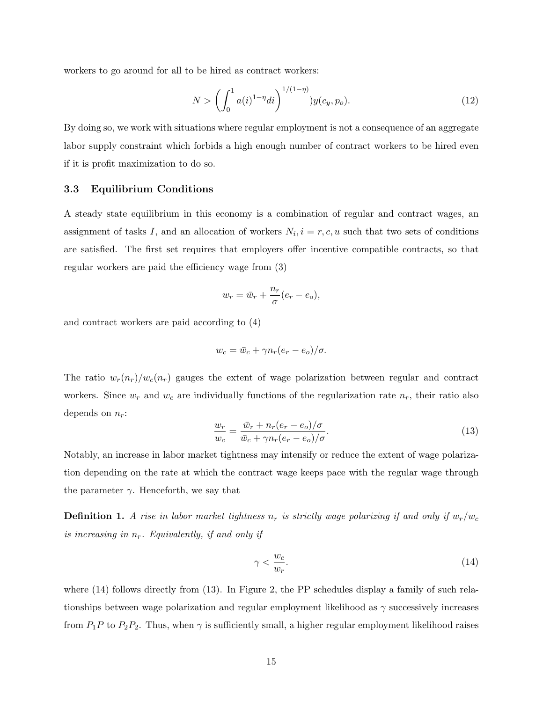workers to go around for all to be hired as contract workers:

$$
N > \left(\int_0^1 a(i)^{1-\eta} di\right)^{1/(1-\eta)} y(c_y, p_o). \tag{12}
$$

By doing so, we work with situations where regular employment is not a consequence of an aggregate labor supply constraint which forbids a high enough number of contract workers to be hired even if it is profit maximization to do so.

## 3.3 Equilibrium Conditions

A steady state equilibrium in this economy is a combination of regular and contract wages, an assignment of tasks I, and an allocation of workers  $N_i$ ,  $i = r, c, u$  such that two sets of conditions are satisfied. The first set requires that employers offer incentive compatible contracts, so that regular workers are paid the efficiency wage from (3)

$$
w_r = \bar{w}_r + \frac{n_r}{\sigma}(e_r - e_o),
$$

and contract workers are paid according to (4)

$$
w_c = \bar{w}_c + \gamma n_r (e_r - e_o) / \sigma.
$$

The ratio  $w_r(n_r)/w_c(n_r)$  gauges the extent of wage polarization between regular and contract workers. Since  $w_r$  and  $w_c$  are individually functions of the regularization rate  $n_r$ , their ratio also depends on  $n_r$ :

$$
\frac{w_r}{w_c} = \frac{\bar{w}_r + n_r(e_r - e_o)/\sigma}{\bar{w}_c + \gamma n_r(e_r - e_o)/\sigma}.\tag{13}
$$

Notably, an increase in labor market tightness may intensify or reduce the extent of wage polarization depending on the rate at which the contract wage keeps pace with the regular wage through the parameter  $\gamma$ . Henceforth, we say that

**Definition 1.** A rise in labor market tightness  $n_r$  is strictly wage polarizing if and only if  $w_r/w_c$ is increasing in  $n_r$ . Equivalently, if and only if

$$
\gamma < \frac{w_c}{w_r}.\tag{14}
$$

where (14) follows directly from (13). In Figure 2, the PP schedules display a family of such relationships between wage polarization and regular employment likelihood as  $\gamma$  successively increases from  $P_1P$  to  $P_2P_2$ . Thus, when  $\gamma$  is sufficiently small, a higher regular employment likelihood raises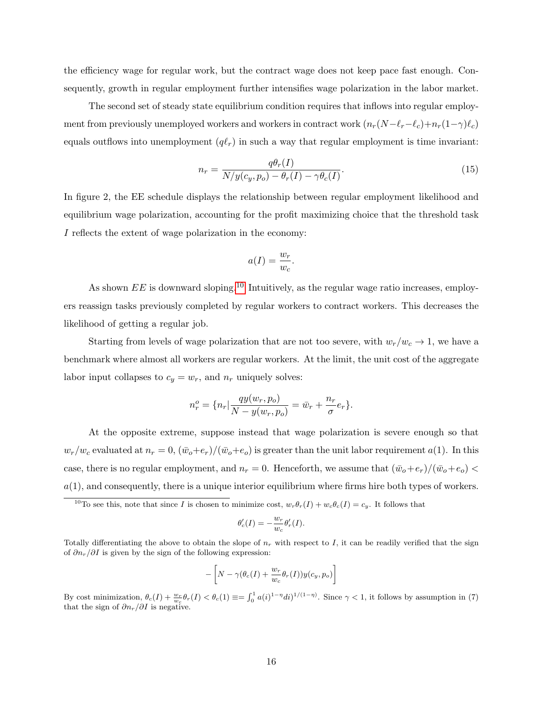the efficiency wage for regular work, but the contract wage does not keep pace fast enough. Consequently, growth in regular employment further intensifies wage polarization in the labor market.

The second set of steady state equilibrium condition requires that inflows into regular employment from previously unemployed workers and workers in contract work  $(n_r(N-\ell_r-\ell_c)+n_r(1-\gamma)\ell_c)$ equals outflows into unemployment  $(q\ell_r)$  in such a way that regular employment is time invariant:

$$
n_r = \frac{q\theta_r(I)}{N/y(c_y, p_o) - \theta_r(I) - \gamma \theta_c(I)}.\tag{15}
$$

In figure 2, the EE schedule displays the relationship between regular employment likelihood and equilibrium wage polarization, accounting for the profit maximizing choice that the threshold task I reflects the extent of wage polarization in the economy:

$$
a(I) = \frac{w_r}{w_c}.
$$

As shown  $EE$  is downward sloping.<sup>[10](#page-0-0)</sup> Intuitively, as the regular wage ratio increases, employers reassign tasks previously completed by regular workers to contract workers. This decreases the likelihood of getting a regular job.

Starting from levels of wage polarization that are not too severe, with  $w_r/w_c \to 1$ , we have a benchmark where almost all workers are regular workers. At the limit, the unit cost of the aggregate labor input collapses to  $c_y = w_r$ , and  $n_r$  uniquely solves:

$$
n_r^o = \{n_r | \frac{qy(w_r, p_o)}{N - y(w_r, p_o)} = \bar{w}_r + \frac{n_r}{\sigma} e_r \}.
$$

At the opposite extreme, suppose instead that wage polarization is severe enough so that  $w_r/w_c$  evaluated at  $n_r = 0$ ,  $(\bar{w}_o+e_r)/(\bar{w}_o+e_o)$  is greater than the unit labor requirement  $a(1)$ . In this case, there is no regular employment, and  $n_r = 0$ . Henceforth, we assume that  $(\bar{w}_o + e_r)/(\bar{w}_o + e_o)$  $a(1)$ , and consequently, there is a unique interior equilibrium where firms hire both types of workers.

$$
\theta'_c(I) = -\frac{w_r}{w_c} \theta'_r(I).
$$

$$
-\left[N-\gamma(\theta_c(I)+\frac{w_r}{w_c}\theta_r(I))y(c_y,p_o)\right]
$$

By cost minimization,  $\theta_c(I) + \frac{w_r}{w_c} \theta_r(I) < \theta_c(1) \equiv -\int_0^1 a(i)^{1-\eta} di)^{1/(1-\eta)}$ . Since  $\gamma < 1$ , it follows by assumption in (7) that the sign of  $\partial n_r/\partial I$  is negative.

<sup>&</sup>lt;sup>10</sup>To see this, note that since I is chosen to minimize cost,  $w_r \theta_r(I) + w_c \theta_c(I) = c_y$ . It follows that

Totally differentiating the above to obtain the slope of  $n_r$  with respect to I, it can be readily verified that the sign of  $\partial n_r/\partial I$  is given by the sign of the following expression: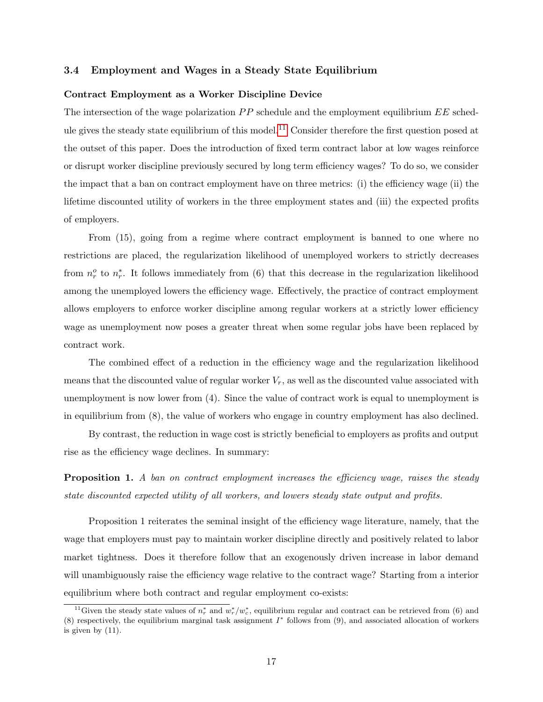## 3.4 Employment and Wages in a Steady State Equilibrium

## Contract Employment as a Worker Discipline Device

The intersection of the wage polarization  $PP$  schedule and the employment equilibrium  $EE$  sched-ule gives the steady state equilibrium of this model.<sup>[11](#page-0-0)</sup> Consider therefore the first question posed at the outset of this paper. Does the introduction of fixed term contract labor at low wages reinforce or disrupt worker discipline previously secured by long term efficiency wages? To do so, we consider the impact that a ban on contract employment have on three metrics: (i) the efficiency wage (ii) the lifetime discounted utility of workers in the three employment states and (iii) the expected profits of employers.

From (15), going from a regime where contract employment is banned to one where no restrictions are placed, the regularization likelihood of unemployed workers to strictly decreases from  $n_r^o$  to  $n_r^*$ . It follows immediately from (6) that this decrease in the regularization likelihood among the unemployed lowers the efficiency wage. Effectively, the practice of contract employment allows employers to enforce worker discipline among regular workers at a strictly lower efficiency wage as unemployment now poses a greater threat when some regular jobs have been replaced by contract work.

The combined effect of a reduction in the efficiency wage and the regularization likelihood means that the discounted value of regular worker  $V_r$ , as well as the discounted value associated with unemployment is now lower from (4). Since the value of contract work is equal to unemployment is in equilibrium from (8), the value of workers who engage in country employment has also declined.

By contrast, the reduction in wage cost is strictly beneficial to employers as profits and output rise as the efficiency wage declines. In summary:

Proposition 1. A ban on contract employment increases the efficiency wage, raises the steady state discounted expected utility of all workers, and lowers steady state output and profits.

Proposition 1 reiterates the seminal insight of the efficiency wage literature, namely, that the wage that employers must pay to maintain worker discipline directly and positively related to labor market tightness. Does it therefore follow that an exogenously driven increase in labor demand will unambiguously raise the efficiency wage relative to the contract wage? Starting from a interior equilibrium where both contract and regular employment co-exists:

<sup>&</sup>lt;sup>11</sup>Given the steady state values of  $n_r^*$  and  $w_r^*/w_c^*$ , equilibrium regular and contract can be retrieved from (6) and  $(8)$  respectively, the equilibrium marginal task assignment  $I^*$  follows from  $(9)$ , and associated allocation of workers is given by (11).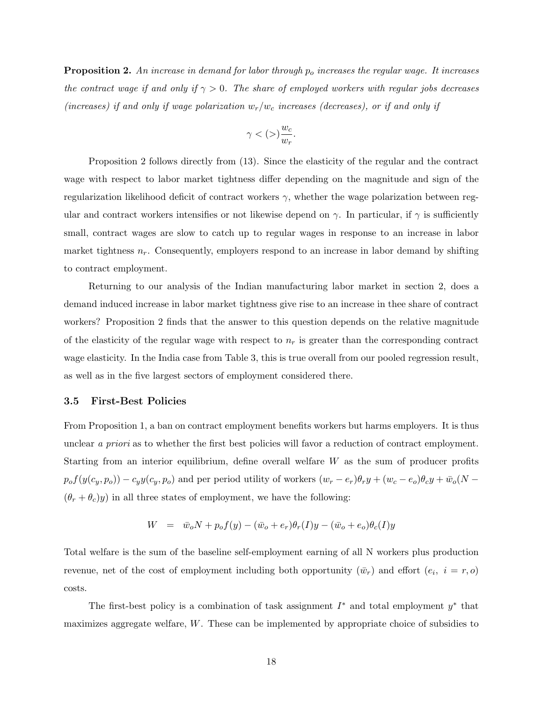**Proposition 2.** An increase in demand for labor through  $p<sub>o</sub>$  increases the regular wage. It increases the contract wage if and only if  $\gamma > 0$ . The share of employed workers with regular jobs decreases (increases) if and only if wage polarization  $w_r/w_c$  increases (decreases), or if and only if

$$
\gamma<(>)\frac{w_c}{w_r}.
$$

Proposition 2 follows directly from (13). Since the elasticity of the regular and the contract wage with respect to labor market tightness differ depending on the magnitude and sign of the regularization likelihood deficit of contract workers  $\gamma$ , whether the wage polarization between regular and contract workers intensifies or not likewise depend on  $\gamma$ . In particular, if  $\gamma$  is sufficiently small, contract wages are slow to catch up to regular wages in response to an increase in labor market tightness  $n_r$ . Consequently, employers respond to an increase in labor demand by shifting to contract employment.

Returning to our analysis of the Indian manufacturing labor market in section 2, does a demand induced increase in labor market tightness give rise to an increase in thee share of contract workers? Proposition 2 finds that the answer to this question depends on the relative magnitude of the elasticity of the regular wage with respect to  $n_r$  is greater than the corresponding contract wage elasticity. In the India case from Table 3, this is true overall from our pooled regression result, as well as in the five largest sectors of employment considered there.

#### 3.5 First-Best Policies

From Proposition 1, a ban on contract employment benefits workers but harms employers. It is thus unclear a priori as to whether the first best policies will favor a reduction of contract employment. Starting from an interior equilibrium, define overall welfare  $W$  as the sum of producer profits  $p_o f(y(c_y, p_o)) - c_y y(c_y, p_o)$  and per period utility of workers  $(w_r - e_r)\theta_r y + (w_c - e_o)\theta_c y + \bar{w}_o(N - e_o)$  $(\theta_r + \theta_c)y$  in all three states of employment, we have the following:

$$
W = \bar{w}_o N + p_o f(y) - (\bar{w}_o + e_r) \theta_r(I) y - (\bar{w}_o + e_o) \theta_c(I) y
$$

Total welfare is the sum of the baseline self-employment earning of all N workers plus production revenue, net of the cost of employment including both opportunity  $(\bar{w}_r)$  and effort  $(e_i, i = r, o)$ costs.

The first-best policy is a combination of task assignment  $I^*$  and total employment  $y^*$  that maximizes aggregate welfare, W. These can be implemented by appropriate choice of subsidies to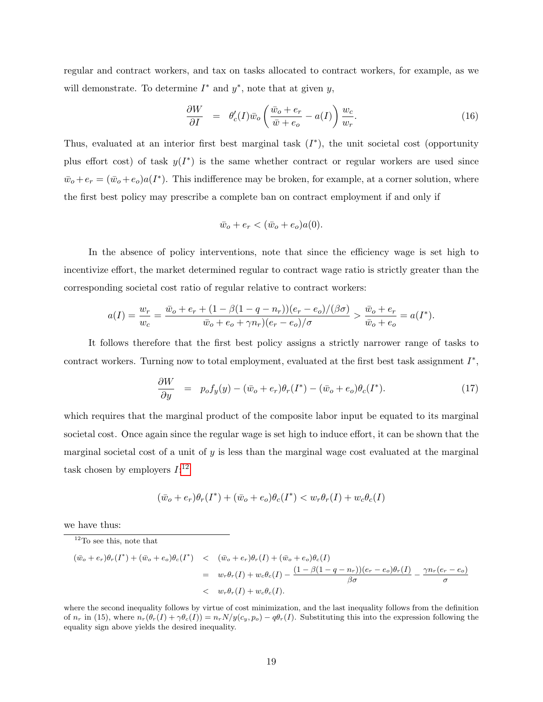regular and contract workers, and tax on tasks allocated to contract workers, for example, as we will demonstrate. To determine  $I^*$  and  $y^*$ , note that at given  $y$ ,

$$
\frac{\partial W}{\partial I} = \theta_c'(I)\bar{w}_o \left(\frac{\bar{w}_o + e_r}{\bar{w} + e_o} - a(I)\right) \frac{w_c}{w_r}.\tag{16}
$$

Thus, evaluated at an interior first best marginal task  $(I^*)$ , the unit societal cost (opportunity plus effort cost) of task  $y(I^*)$  is the same whether contract or regular workers are used since  $\bar{w}_o + e_r = (\bar{w}_o + e_o)a(I^*)$ . This indifference may be broken, for example, at a corner solution, where the first best policy may prescribe a complete ban on contract employment if and only if

$$
\bar{w}_o + e_r < (\bar{w}_o + e_o)a(0).
$$

In the absence of policy interventions, note that since the efficiency wage is set high to incentivize effort, the market determined regular to contract wage ratio is strictly greater than the corresponding societal cost ratio of regular relative to contract workers:

$$
a(I) = \frac{w_r}{w_c} = \frac{\bar{w}_o + e_r + (1 - \beta(1 - q - n_r))(e_r - e_o)/(\beta \sigma)}{\bar{w}_o + e_o + \gamma n_r)(e_r - e_o)/\sigma} > \frac{\bar{w}_o + e_r}{\bar{w}_o + e_o} = a(I^*).
$$

It follows therefore that the first best policy assigns a strictly narrower range of tasks to contract workers. Turning now to total employment, evaluated at the first best task assignment  $I^*$ ,

$$
\frac{\partial W}{\partial y} = p_o f_y(y) - (\bar{w}_o + e_r)\theta_r(I^*) - (\bar{w}_o + e_o)\theta_c(I^*). \tag{17}
$$

which requires that the marginal product of the composite labor input be equated to its marginal societal cost. Once again since the regular wage is set high to induce effort, it can be shown that the marginal societal cost of a unit of  $y$  is less than the marginal wage cost evaluated at the marginal task chosen by employers  $I:^{12}$  $I:^{12}$  $I:^{12}$ 

$$
(\bar{w}_o + e_r)\theta_r(I^*) + (\bar{w}_o + e_o)\theta_c(I^*) < w_r\theta_r(I) + w_c\theta_c(I)
$$

we have thus:

<sup>12</sup>To see this, note that

$$
(\bar{w}_o + e_r)\theta_r(I^*) + (\bar{w}_o + e_o)\theta_c(I^*) \n= w_r\theta_r(I) + w_c\theta_c(I) - \frac{(1 - \beta(1 - q - n_r))(e_r - e_o)\theta_r(I)}{\beta\sigma} - \frac{\gamma n_r(e_r - e_o)}{\sigma} \n< w_r\theta_r(I) + w_c\theta_c(I).
$$

where the second inequality follows by virtue of cost minimization, and the last inequality follows from the definition of  $n_r$  in (15), where  $n_r(\theta_r(I) + \gamma \theta_c(I)) = n_r N/y(c_y, p_o) - q\theta_r(I)$ . Substituting this into the expression following the equality sign above yields the desired inequality.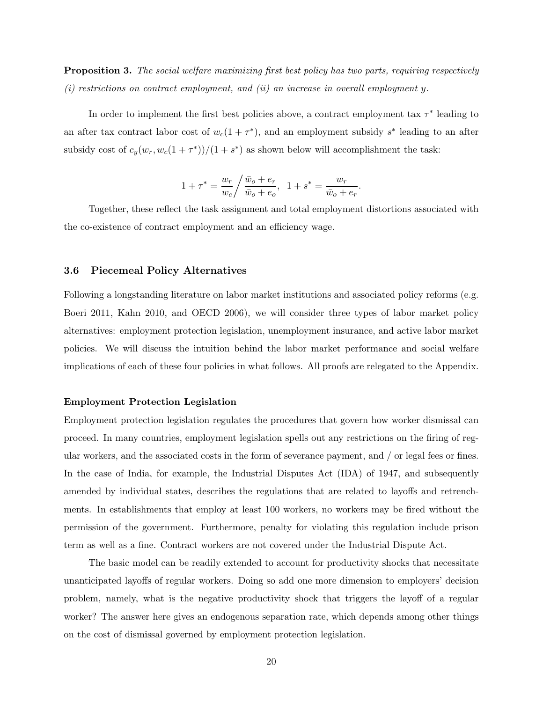**Proposition 3.** The social welfare maximizing first best policy has two parts, requiring respectively  $(i)$  restrictions on contract employment, and  $(ii)$  an increase in overall employment y.

In order to implement the first best policies above, a contract employment tax  $\tau^*$  leading to an after tax contract labor cost of  $w_c(1+\tau^*)$ , and an employment subsidy  $s^*$  leading to an after subsidy cost of  $c_y(w_r, w_c(1+\tau^*))/(1+s^*)$  as shown below will accomplishment the task:

$$
1 + \tau^* = \frac{w_r}{w_c} / \frac{\bar{w}_o + e_r}{\bar{w}_o + e_o}, \ \ 1 + s^* = \frac{w_r}{\bar{w}_o + e_r}.
$$

Together, these reflect the task assignment and total employment distortions associated with the co-existence of contract employment and an efficiency wage.

## 3.6 Piecemeal Policy Alternatives

Following a longstanding literature on labor market institutions and associated policy reforms (e.g. Boeri 2011, Kahn 2010, and OECD 2006), we will consider three types of labor market policy alternatives: employment protection legislation, unemployment insurance, and active labor market policies. We will discuss the intuition behind the labor market performance and social welfare implications of each of these four policies in what follows. All proofs are relegated to the Appendix.

#### Employment Protection Legislation

Employment protection legislation regulates the procedures that govern how worker dismissal can proceed. In many countries, employment legislation spells out any restrictions on the firing of regular workers, and the associated costs in the form of severance payment, and / or legal fees or fines. In the case of India, for example, the Industrial Disputes Act (IDA) of 1947, and subsequently amended by individual states, describes the regulations that are related to layoffs and retrenchments. In establishments that employ at least 100 workers, no workers may be fired without the permission of the government. Furthermore, penalty for violating this regulation include prison term as well as a fine. Contract workers are not covered under the Industrial Dispute Act.

The basic model can be readily extended to account for productivity shocks that necessitate unanticipated layoffs of regular workers. Doing so add one more dimension to employers' decision problem, namely, what is the negative productivity shock that triggers the layoff of a regular worker? The answer here gives an endogenous separation rate, which depends among other things on the cost of dismissal governed by employment protection legislation.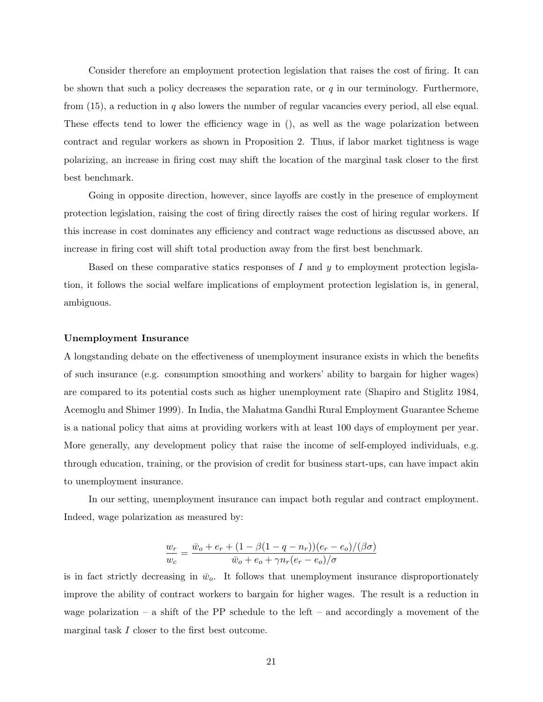Consider therefore an employment protection legislation that raises the cost of firing. It can be shown that such a policy decreases the separation rate, or  $q$  in our terminology. Furthermore, from  $(15)$ , a reduction in q also lowers the number of regular vacancies every period, all else equal. These effects tend to lower the efficiency wage in (), as well as the wage polarization between contract and regular workers as shown in Proposition 2. Thus, if labor market tightness is wage polarizing, an increase in firing cost may shift the location of the marginal task closer to the first best benchmark.

Going in opposite direction, however, since layoffs are costly in the presence of employment protection legislation, raising the cost of firing directly raises the cost of hiring regular workers. If this increase in cost dominates any efficiency and contract wage reductions as discussed above, an increase in firing cost will shift total production away from the first best benchmark.

Based on these comparative statics responses of  $I$  and  $y$  to employment protection legislation, it follows the social welfare implications of employment protection legislation is, in general, ambiguous.

### Unemployment Insurance

A longstanding debate on the effectiveness of unemployment insurance exists in which the benefits of such insurance (e.g. consumption smoothing and workers' ability to bargain for higher wages) are compared to its potential costs such as higher unemployment rate (Shapiro and Stiglitz 1984, Acemoglu and Shimer 1999). In India, the Mahatma Gandhi Rural Employment Guarantee Scheme is a national policy that aims at providing workers with at least 100 days of employment per year. More generally, any development policy that raise the income of self-employed individuals, e.g. through education, training, or the provision of credit for business start-ups, can have impact akin to unemployment insurance.

In our setting, unemployment insurance can impact both regular and contract employment. Indeed, wage polarization as measured by:

$$
\frac{w_r}{w_c} = \frac{\bar{w}_o + e_r + (1 - \beta(1 - q - n_r))(e_r - e_o)/(\beta \sigma)}{\bar{w}_o + e_o + \gamma n_r(e_r - e_o)/\sigma}
$$

is in fact strictly decreasing in  $\bar{w}_o$ . It follows that unemployment insurance disproportionately improve the ability of contract workers to bargain for higher wages. The result is a reduction in wage polarization – a shift of the PP schedule to the left – and accordingly a movement of the marginal task I closer to the first best outcome.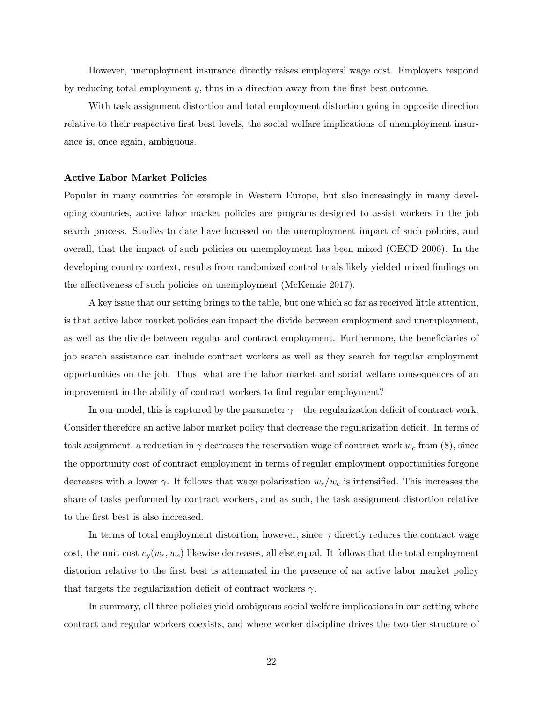However, unemployment insurance directly raises employers' wage cost. Employers respond by reducing total employment y, thus in a direction away from the first best outcome.

With task assignment distortion and total employment distortion going in opposite direction relative to their respective first best levels, the social welfare implications of unemployment insurance is, once again, ambiguous.

### Active Labor Market Policies

Popular in many countries for example in Western Europe, but also increasingly in many developing countries, active labor market policies are programs designed to assist workers in the job search process. Studies to date have focussed on the unemployment impact of such policies, and overall, that the impact of such policies on unemployment has been mixed (OECD 2006). In the developing country context, results from randomized control trials likely yielded mixed findings on the effectiveness of such policies on unemployment (McKenzie 2017).

A key issue that our setting brings to the table, but one which so far as received little attention, is that active labor market policies can impact the divide between employment and unemployment, as well as the divide between regular and contract employment. Furthermore, the beneficiaries of job search assistance can include contract workers as well as they search for regular employment opportunities on the job. Thus, what are the labor market and social welfare consequences of an improvement in the ability of contract workers to find regular employment?

In our model, this is captured by the parameter  $\gamma$  – the regularization deficit of contract work. Consider therefore an active labor market policy that decrease the regularization deficit. In terms of task assignment, a reduction in  $\gamma$  decreases the reservation wage of contract work  $w_c$  from (8), since the opportunity cost of contract employment in terms of regular employment opportunities forgone decreases with a lower  $\gamma$ . It follows that wage polarization  $w_r/w_c$  is intensified. This increases the share of tasks performed by contract workers, and as such, the task assignment distortion relative to the first best is also increased.

In terms of total employment distortion, however, since  $\gamma$  directly reduces the contract wage cost, the unit cost  $c_y(w_r, w_c)$  likewise decreases, all else equal. It follows that the total employment distorion relative to the first best is attenuated in the presence of an active labor market policy that targets the regularization deficit of contract workers  $\gamma$ .

In summary, all three policies yield ambiguous social welfare implications in our setting where contract and regular workers coexists, and where worker discipline drives the two-tier structure of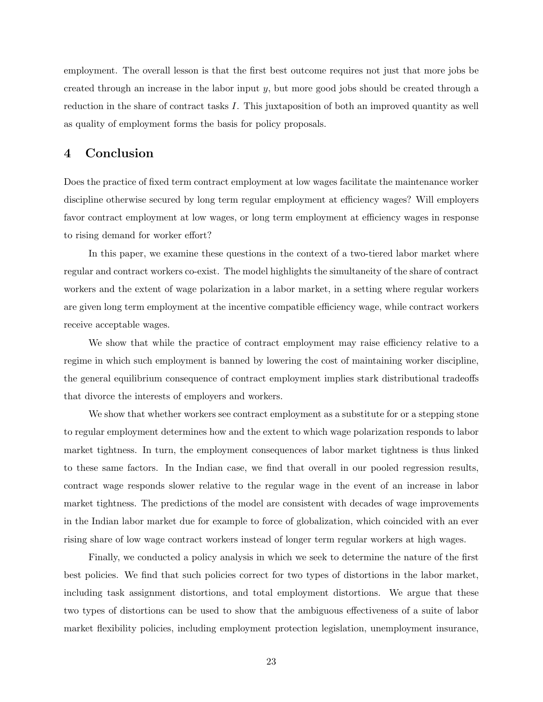employment. The overall lesson is that the first best outcome requires not just that more jobs be created through an increase in the labor input  $y$ , but more good jobs should be created through a reduction in the share of contract tasks I. This juxtaposition of both an improved quantity as well as quality of employment forms the basis for policy proposals.

## 4 Conclusion

Does the practice of fixed term contract employment at low wages facilitate the maintenance worker discipline otherwise secured by long term regular employment at efficiency wages? Will employers favor contract employment at low wages, or long term employment at efficiency wages in response to rising demand for worker effort?

In this paper, we examine these questions in the context of a two-tiered labor market where regular and contract workers co-exist. The model highlights the simultaneity of the share of contract workers and the extent of wage polarization in a labor market, in a setting where regular workers are given long term employment at the incentive compatible efficiency wage, while contract workers receive acceptable wages.

We show that while the practice of contract employment may raise efficiency relative to a regime in which such employment is banned by lowering the cost of maintaining worker discipline, the general equilibrium consequence of contract employment implies stark distributional tradeoffs that divorce the interests of employers and workers.

We show that whether workers see contract employment as a substitute for or a stepping stone to regular employment determines how and the extent to which wage polarization responds to labor market tightness. In turn, the employment consequences of labor market tightness is thus linked to these same factors. In the Indian case, we find that overall in our pooled regression results, contract wage responds slower relative to the regular wage in the event of an increase in labor market tightness. The predictions of the model are consistent with decades of wage improvements in the Indian labor market due for example to force of globalization, which coincided with an ever rising share of low wage contract workers instead of longer term regular workers at high wages.

Finally, we conducted a policy analysis in which we seek to determine the nature of the first best policies. We find that such policies correct for two types of distortions in the labor market, including task assignment distortions, and total employment distortions. We argue that these two types of distortions can be used to show that the ambiguous effectiveness of a suite of labor market flexibility policies, including employment protection legislation, unemployment insurance,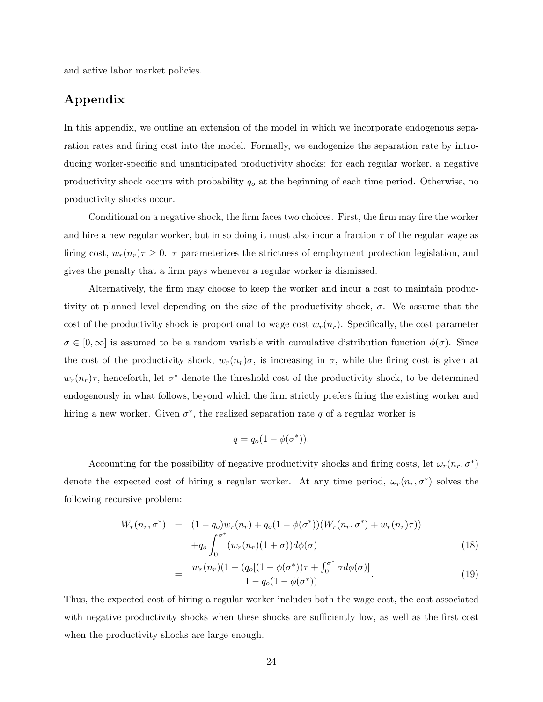and active labor market policies.

# Appendix

In this appendix, we outline an extension of the model in which we incorporate endogenous separation rates and firing cost into the model. Formally, we endogenize the separation rate by introducing worker-specific and unanticipated productivity shocks: for each regular worker, a negative productivity shock occurs with probability  $q_o$  at the beginning of each time period. Otherwise, no productivity shocks occur.

Conditional on a negative shock, the firm faces two choices. First, the firm may fire the worker and hire a new regular worker, but in so doing it must also incur a fraction  $\tau$  of the regular wage as firing cost,  $w_r(n_r)\tau \geq 0$ .  $\tau$  parameterizes the strictness of employment protection legislation, and gives the penalty that a firm pays whenever a regular worker is dismissed.

Alternatively, the firm may choose to keep the worker and incur a cost to maintain productivity at planned level depending on the size of the productivity shock,  $\sigma$ . We assume that the cost of the productivity shock is proportional to wage cost  $w_r(n_r)$ . Specifically, the cost parameter  $\sigma \in [0,\infty]$  is assumed to be a random variable with cumulative distribution function  $\phi(\sigma)$ . Since the cost of the productivity shock,  $w_r(n_r)\sigma$ , is increasing in  $\sigma$ , while the firing cost is given at  $w_r(n_r)\tau$ , henceforth, let  $\sigma^*$  denote the threshold cost of the productivity shock, to be determined endogenously in what follows, beyond which the firm strictly prefers firing the existing worker and hiring a new worker. Given  $\sigma^*$ , the realized separation rate q of a regular worker is

$$
q = q_o(1 - \phi(\sigma^*)).
$$

Accounting for the possibility of negative productivity shocks and firing costs, let  $\omega_r(n_r, \sigma^*)$ denote the expected cost of hiring a regular worker. At any time period,  $\omega_r(n_r, \sigma^*)$  solves the following recursive problem:

$$
W_r(n_r, \sigma^*) = (1 - q_o)w_r(n_r) + q_o(1 - \phi(\sigma^*))(W_r(n_r, \sigma^*) + w_r(n_r)\tau))
$$
  
+
$$
q_o \int_0^{\sigma^*} (w_r(n_r)(1 + \sigma))d\phi(\sigma)
$$
(18)

$$
= \frac{w_r(n_r)(1 + (q_o[(1 - \phi(\sigma^*))\tau + \int_0^{\sigma^*} \sigma d\phi(\sigma))}{1 - q_o(1 - \phi(\sigma^*))}.
$$
\n(19)

Thus, the expected cost of hiring a regular worker includes both the wage cost, the cost associated with negative productivity shocks when these shocks are sufficiently low, as well as the first cost when the productivity shocks are large enough.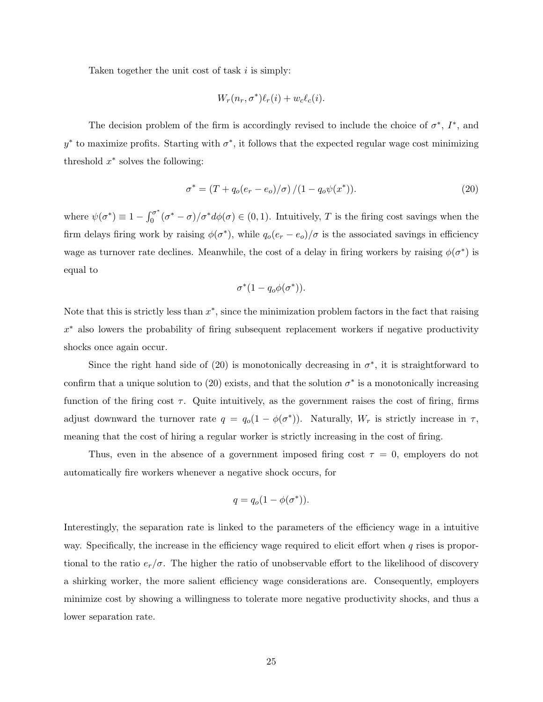Taken together the unit cost of task  $i$  is simply:

$$
W_r(n_r, \sigma^*)\ell_r(i) + w_c \ell_c(i).
$$

The decision problem of the firm is accordingly revised to include the choice of  $\sigma^*$ ,  $I^*$ , and  $y^*$  to maximize profits. Starting with  $\sigma^*$ , it follows that the expected regular wage cost minimizing threshold  $x^*$  solves the following:

$$
\sigma^* = (T + q_o(e_r - e_o)/\sigma) / (1 - q_o \psi(x^*)).
$$
\n(20)

where  $\psi(\sigma^*) \equiv 1 - \int_0^{\sigma^*}$  $\int_0^{\sigma^*} (\sigma^* - \sigma) / \sigma^* d\phi(\sigma) \in (0, 1)$ . Intuitively, T is the firing cost savings when the firm delays firing work by raising  $\phi(\sigma^*)$ , while  $q_o(e_r - e_o)/\sigma$  is the associated savings in efficiency wage as turnover rate declines. Meanwhile, the cost of a delay in firing workers by raising  $\phi(\sigma^*)$  is equal to

$$
\sigma^*(1-q_o\phi(\sigma^*)).
$$

Note that this is strictly less than  $x^*$ , since the minimization problem factors in the fact that raising  $x^*$  also lowers the probability of firing subsequent replacement workers if negative productivity shocks once again occur.

Since the right hand side of (20) is monotonically decreasing in  $\sigma^*$ , it is straightforward to confirm that a unique solution to (20) exists, and that the solution  $\sigma^*$  is a monotonically increasing function of the firing cost  $\tau$ . Quite intuitively, as the government raises the cost of firing, firms adjust downward the turnover rate  $q = q_o(1 - \phi(\sigma^*))$ . Naturally,  $W_r$  is strictly increase in  $\tau$ , meaning that the cost of hiring a regular worker is strictly increasing in the cost of firing.

Thus, even in the absence of a government imposed firing cost  $\tau = 0$ , employers do not automatically fire workers whenever a negative shock occurs, for

$$
q = q_o(1 - \phi(\sigma^*)).
$$

Interestingly, the separation rate is linked to the parameters of the efficiency wage in a intuitive way. Specifically, the increase in the efficiency wage required to elicit effort when  $q$  rises is proportional to the ratio  $e_r/\sigma$ . The higher the ratio of unobservable effort to the likelihood of discovery a shirking worker, the more salient efficiency wage considerations are. Consequently, employers minimize cost by showing a willingness to tolerate more negative productivity shocks, and thus a lower separation rate.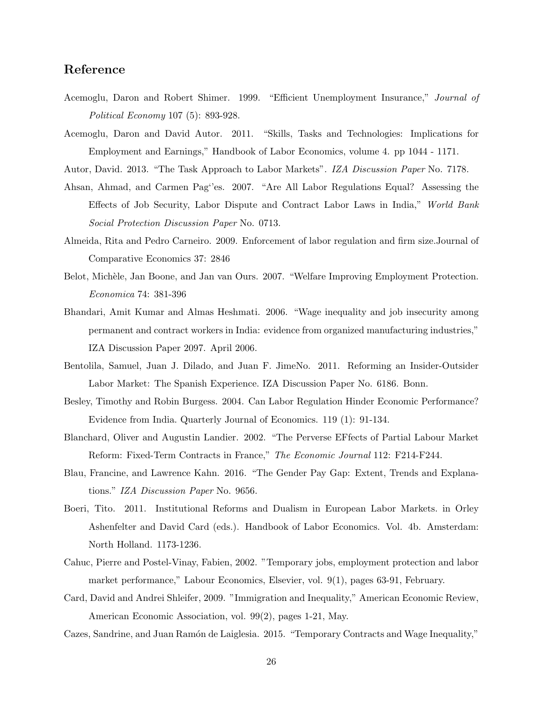## Reference

- Acemoglu, Daron and Robert Shimer. 1999. "Efficient Unemployment Insurance," Journal of Political Economy 107 (5): 893-928.
- Acemoglu, Daron and David Autor. 2011. "Skills, Tasks and Technologies: Implications for Employment and Earnings," Handbook of Labor Economics, volume 4. pp 1044 - 1171.
- Autor, David. 2013. "The Task Approach to Labor Markets". IZA Discussion Paper No. 7178.
- Ahsan, Ahmad, and Carmen Pag''es. 2007. "Are All Labor Regulations Equal? Assessing the Effects of Job Security, Labor Dispute and Contract Labor Laws in India," World Bank Social Protection Discussion Paper No. 0713.
- Almeida, Rita and Pedro Carneiro. 2009. Enforcement of labor regulation and firm size.Journal of Comparative Economics 37: 2846
- Belot, Michèle, Jan Boone, and Jan van Ours. 2007. "Welfare Improving Employment Protection. Economica 74: 381-396
- Bhandari, Amit Kumar and Almas Heshmati. 2006. "Wage inequality and job insecurity among permanent and contract workers in India: evidence from organized manufacturing industries," IZA Discussion Paper 2097. April 2006.
- Bentolila, Samuel, Juan J. Dilado, and Juan F. JimeNo. 2011. Reforming an Insider-Outsider Labor Market: The Spanish Experience. IZA Discussion Paper No. 6186. Bonn.
- Besley, Timothy and Robin Burgess. 2004. Can Labor Regulation Hinder Economic Performance? Evidence from India. Quarterly Journal of Economics. 119 (1): 91-134.
- Blanchard, Oliver and Augustin Landier. 2002. "The Perverse EFfects of Partial Labour Market Reform: Fixed-Term Contracts in France," The Economic Journal 112: F214-F244.
- Blau, Francine, and Lawrence Kahn. 2016. "The Gender Pay Gap: Extent, Trends and Explanations." IZA Discussion Paper No. 9656.
- Boeri, Tito. 2011. Institutional Reforms and Dualism in European Labor Markets. in Orley Ashenfelter and David Card (eds.). Handbook of Labor Economics. Vol. 4b. Amsterdam: North Holland. 1173-1236.
- Cahuc, Pierre and Postel-Vinay, Fabien, 2002. "Temporary jobs, employment protection and labor market performance," Labour Economics, Elsevier, vol. 9(1), pages 63-91, February.
- Card, David and Andrei Shleifer, 2009. "Immigration and Inequality," American Economic Review, American Economic Association, vol. 99(2), pages 1-21, May.
- Cazes, Sandrine, and Juan Ramón de Laiglesia. 2015. "Temporary Contracts and Wage Inequality,"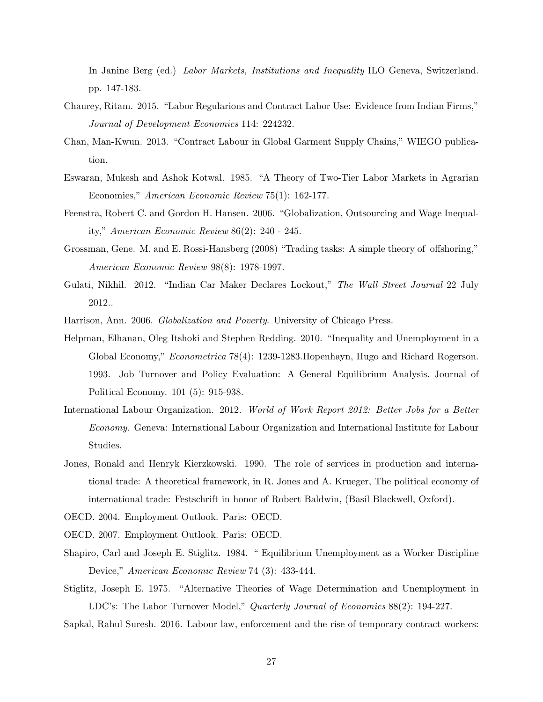In Janine Berg (ed.) Labor Markets, Institutions and Inequality ILO Geneva, Switzerland. pp. 147-183.

- Chaurey, Ritam. 2015. "Labor Regularions and Contract Labor Use: Evidence from Indian Firms," Journal of Development Economics 114: 224232.
- Chan, Man-Kwun. 2013. "Contract Labour in Global Garment Supply Chains," WIEGO publication.
- Eswaran, Mukesh and Ashok Kotwal. 1985. "A Theory of Two-Tier Labor Markets in Agrarian Economies," American Economic Review 75(1): 162-177.
- Feenstra, Robert C. and Gordon H. Hansen. 2006. "Globalization, Outsourcing and Wage Inequality," American Economic Review 86(2): 240 - 245.
- Grossman, Gene. M. and E. Rossi-Hansberg (2008) "Trading tasks: A simple theory of offshoring," American Economic Review 98(8): 1978-1997.
- Gulati, Nikhil. 2012. "Indian Car Maker Declares Lockout," The Wall Street Journal 22 July 2012..
- Harrison, Ann. 2006. Globalization and Poverty. University of Chicago Press.
- Helpman, Elhanan, Oleg Itshoki and Stephen Redding. 2010. "Inequality and Unemployment in a Global Economy," Econometrica 78(4): 1239-1283.Hopenhayn, Hugo and Richard Rogerson. 1993. Job Turnover and Policy Evaluation: A General Equilibrium Analysis. Journal of Political Economy. 101 (5): 915-938.
- International Labour Organization. 2012. World of Work Report 2012: Better Jobs for a Better Economy. Geneva: International Labour Organization and International Institute for Labour Studies.
- Jones, Ronald and Henryk Kierzkowski. 1990. The role of services in production and international trade: A theoretical framework, in R. Jones and A. Krueger, The political economy of international trade: Festschrift in honor of Robert Baldwin, (Basil Blackwell, Oxford).

OECD. 2004. Employment Outlook. Paris: OECD.

OECD. 2007. Employment Outlook. Paris: OECD.

- Shapiro, Carl and Joseph E. Stiglitz. 1984. " Equilibrium Unemployment as a Worker Discipline Device," American Economic Review 74 (3): 433-444.
- Stiglitz, Joseph E. 1975. "Alternative Theories of Wage Determination and Unemployment in LDC's: The Labor Turnover Model," Quarterly Journal of Economics 88(2): 194-227.

Sapkal, Rahul Suresh. 2016. Labour law, enforcement and the rise of temporary contract workers: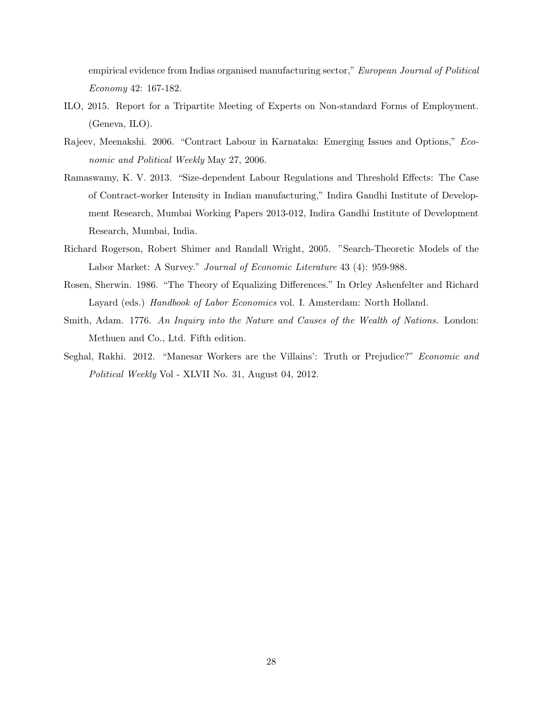empirical evidence from Indias organised manufacturing sector," European Journal of Political Economy 42: 167-182.

- ILO, 2015. Report for a Tripartite Meeting of Experts on Non-standard Forms of Employment. (Geneva, ILO).
- Rajeev, Meenakshi. 2006. "Contract Labour in Karnataka: Emerging Issues and Options," Economic and Political Weekly May 27, 2006.
- Ramaswamy, K. V. 2013. "Size-dependent Labour Regulations and Threshold Effects: The Case of Contract-worker Intensity in Indian manufacturing," Indira Gandhi Institute of Development Research, Mumbai Working Papers 2013-012, Indira Gandhi Institute of Development Research, Mumbai, India.
- Richard Rogerson, Robert Shimer and Randall Wright, 2005. "Search-Theoretic Models of the Labor Market: A Survey." Journal of Economic Literature 43 (4): 959-988.
- Rosen, Sherwin. 1986. "The Theory of Equalizing Differences." In Orley Ashenfelter and Richard Layard (eds.) Handbook of Labor Economics vol. I. Amsterdam: North Holland.
- Smith, Adam. 1776. An Inquiry into the Nature and Causes of the Wealth of Nations. London: Methuen and Co., Ltd. Fifth edition.
- Seghal, Rakhi. 2012. "Manesar Workers are the Villains': Truth or Prejudice?" Economic and Political Weekly Vol - XLVII No. 31, August 04, 2012.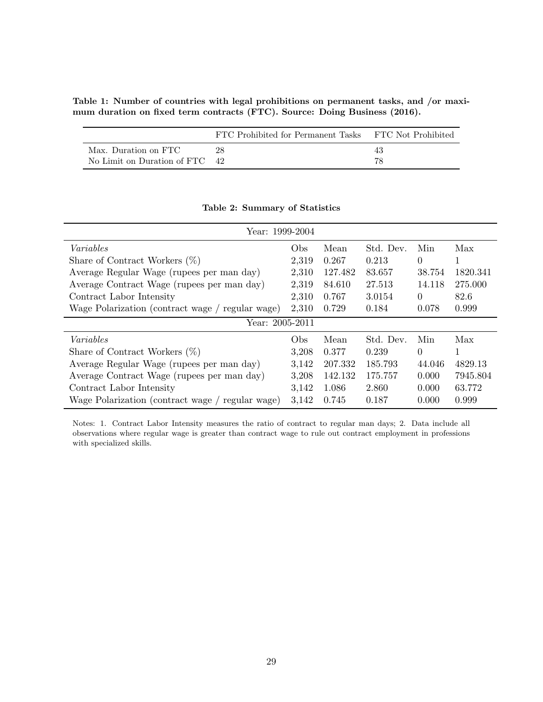Table 1: Number of countries with legal prohibitions on permanent tasks, and /or maximum duration on fixed term contracts (FTC). Source: Doing Business (2016).

|                                | FTC Prohibited for Permanent Tasks FTC Not Prohibited |    |
|--------------------------------|-------------------------------------------------------|----|
| Max. Duration on FTC           | 28                                                    | 43 |
| No Limit on Duration of FTC 42 |                                                       | 78 |

| Year: 1999-2004                                     |     |         |           |          |          |  |  |  |
|-----------------------------------------------------|-----|---------|-----------|----------|----------|--|--|--|
| Variables                                           |     | Mean    | Std. Dev. | Min      | Max      |  |  |  |
| Share of Contract Workers $(\%)$                    |     | 0.267   | 0.213     | 0        |          |  |  |  |
| Average Regular Wage (rupees per man day)           |     | 127.482 | 83.657    | 38.754   | 1820.341 |  |  |  |
| Average Contract Wage (rupees per man day)          |     | 84.610  | 27.513    | 14.118   | 275.000  |  |  |  |
| Contract Labor Intensity                            |     | 0.767   | 3.0154    | $\Omega$ | 82.6     |  |  |  |
| Wage Polarization (contract wage / regular wage)    |     | 0.729   | 0.184     | 0.078    | 0.999    |  |  |  |
| Year: $2005 - 2011$                                 |     |         |           |          |          |  |  |  |
| Variables                                           | Obs | Mean    | Std. Dev. | Min      | Max      |  |  |  |
| Share of Contract Workers $(\%)$                    |     | 0.377   | 0.239     | $\Omega$ |          |  |  |  |
| Average Regular Wage (rupees per man day)           |     | 207.332 | 185.793   | 44.046   | 4829.13  |  |  |  |
| Average Contract Wage (rupees per man day)          |     | 142.132 | 175.757   | 0.000    | 7945.804 |  |  |  |
| Contract Labor Intensity                            |     | 1.086   | 2.860     | 0.000    | 63.772   |  |  |  |
| Wage Polarization (contract wage /<br>regular wage) |     | 0.745   | 0.187     | 0.000    | 0.999    |  |  |  |

## Table 2: Summary of Statistics

Notes: 1. Contract Labor Intensity measures the ratio of contract to regular man days; 2. Data include all observations where regular wage is greater than contract wage to rule out contract employment in professions with specialized skills.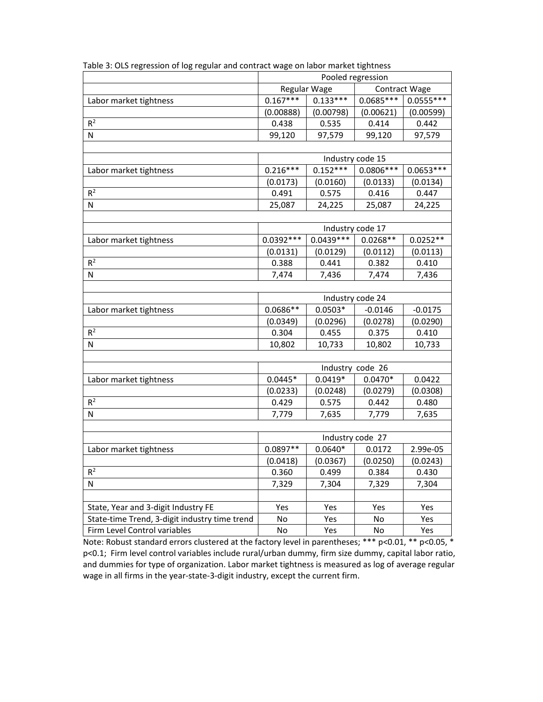|                                               | Pooled regression             |                  |                  |             |  |  |
|-----------------------------------------------|-------------------------------|------------------|------------------|-------------|--|--|
|                                               | Regular Wage<br>Contract Wage |                  |                  |             |  |  |
| Labor market tightness                        | $0.167***$                    | $0.133***$       | $0.0685***$      | $0.0555***$ |  |  |
|                                               | (0.00888)                     | (0.00798)        | (0.00621)        | (0.00599)   |  |  |
| $R^2$                                         | 0.438                         | 0.535            | 0.414            | 0.442       |  |  |
| ${\sf N}$                                     | 99,120                        | 97,579           | 99,120           | 97,579      |  |  |
|                                               |                               |                  |                  |             |  |  |
|                                               | Industry code 15              |                  |                  |             |  |  |
| Labor market tightness                        | $0.216***$                    | $0.152***$       | $0.0806***$      | $0.0653***$ |  |  |
|                                               | (0.0173)                      | (0.0160)         | (0.0133)         | (0.0134)    |  |  |
| $R^2$                                         | 0.491                         | 0.575            | 0.416            | 0.447       |  |  |
| N                                             | 25,087                        | 24,225           | 25,087           | 24,225      |  |  |
|                                               |                               |                  |                  |             |  |  |
|                                               |                               |                  | Industry code 17 |             |  |  |
| Labor market tightness                        | $0.0392***$                   | $0.0439***$      | $0.0268**$       | $0.0252**$  |  |  |
|                                               | (0.0131)                      | (0.0129)         | (0.0112)         | (0.0113)    |  |  |
| $R^2$                                         | 0.388                         | 0.441            | 0.382            | 0.410       |  |  |
| N                                             | 7,474                         | 7,436            | 7,474            | 7,436       |  |  |
|                                               |                               |                  |                  |             |  |  |
|                                               | Industry code 24              |                  |                  |             |  |  |
| Labor market tightness                        | $0.0686**$                    | $0.0503*$        | $-0.0146$        | $-0.0175$   |  |  |
|                                               | (0.0349)                      | (0.0296)         | (0.0278)         | (0.0290)    |  |  |
| $R^2$                                         | 0.304                         | 0.455            | 0.375            | 0.410       |  |  |
| N                                             | 10,802                        | 10,733           | 10,802           | 10,733      |  |  |
|                                               |                               |                  |                  |             |  |  |
|                                               |                               | Industry code 26 |                  |             |  |  |
| Labor market tightness                        | $0.0445*$                     | $0.0419*$        | $0.0470*$        | 0.0422      |  |  |
|                                               | (0.0233)                      | (0.0248)         | (0.0279)         | (0.0308)    |  |  |
| $R^2$                                         | 0.429                         | 0.575            | 0.442            | 0.480       |  |  |
| N                                             | 7,779                         | 7,635            | 7,779            | 7,635       |  |  |
|                                               |                               |                  |                  |             |  |  |
|                                               |                               | Industry code 27 |                  |             |  |  |
| Labor market tightness                        | $0.0897**$                    | $0.0640*$        | 0.0172           | 2.99e-05    |  |  |
|                                               | (0.0418)                      | (0.0367)         | (0.0250)         | (0.0243)    |  |  |
| $R^2$                                         | 0.360                         | 0.499            | 0.384            | 0.430       |  |  |
| N                                             | 7,329                         | 7,304            | 7,329            | 7,304       |  |  |
|                                               |                               |                  |                  |             |  |  |
| State, Year and 3-digit Industry FE           | Yes                           | Yes              | Yes              | Yes         |  |  |
| State-time Trend, 3-digit industry time trend | No                            | Yes              | No               | Yes         |  |  |
| Firm Level Control variables                  | No                            | Yes              | No               | Yes         |  |  |

Table 3: OLS regression of log regular and contract wage on labor market tightness

Note: Robust standard errors clustered at the factory level in parentheses; \*\*\* p<0.01, \*\* p<0.05, \* p<0.1; Firm level control variables include rural/urban dummy, firm size dummy, capital labor ratio, and dummies for type of organization. Labor market tightness is measured as log of average regular wage in all firms in the year‐state‐3‐digit industry, except the current firm.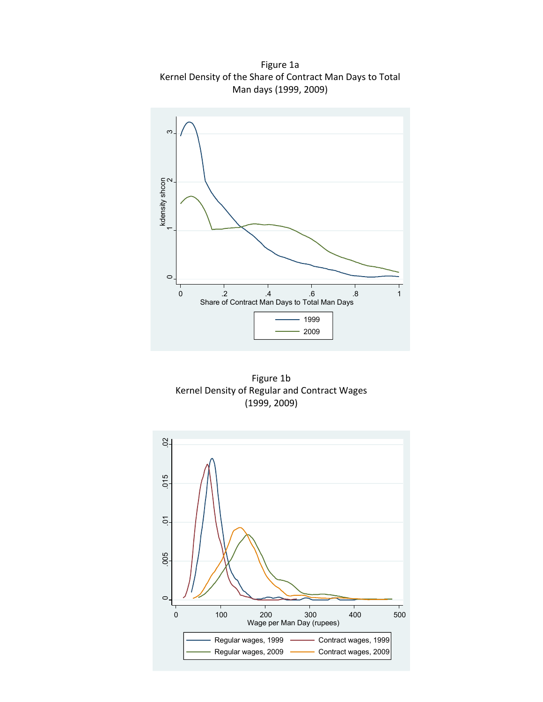Figure 1a Kernel Density of the Share of Contract Man Days to Total Man days (1999, 2009)



Figure 1b Kernel Density of Regular and Contract Wages (1999, 2009)